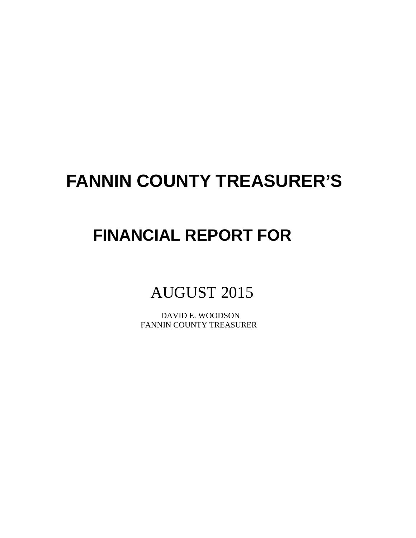# **FANNIN COUNTY TREASURER'S**

# **FINANCIAL REPORT FOR**

# AUGUST 2015

 DAVID E. WOODSON FANNIN COUNTY TREASURER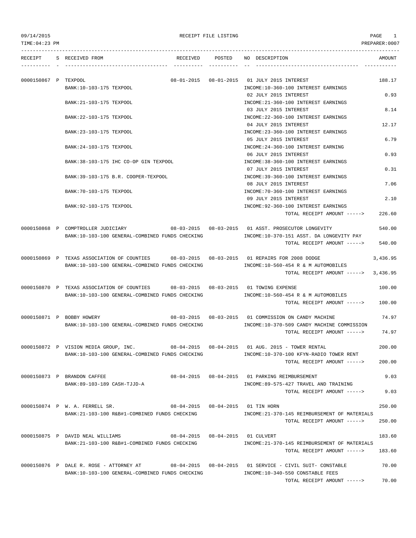| TIME:04:23 PM        |                                                                                                                                       |          |        |                                                                                                 | PREPARER:0007 |
|----------------------|---------------------------------------------------------------------------------------------------------------------------------------|----------|--------|-------------------------------------------------------------------------------------------------|---------------|
| RECEIPT              | S RECEIVED FROM                                                                                                                       | RECEIVED | POSTED | NO DESCRIPTION                                                                                  | AMOUNT        |
| 0000150867 P TEXPOOL | BANK: 10-103-175 TEXPOOL                                                                                                              |          |        | 08-01-2015  08-01-2015  01 JULY  2015 INTEREST<br>INCOME:10-360-100 INTEREST EARNINGS           | 188.17        |
|                      |                                                                                                                                       |          |        | 02 JULY 2015 INTEREST                                                                           | 0.93          |
|                      | BANK: 21-103-175 TEXPOOL                                                                                                              |          |        | INCOME: 21-360-100 INTEREST EARNINGS<br>03 JULY 2015 INTEREST                                   | 8.14          |
|                      | BANK: 22-103-175 TEXPOOL                                                                                                              |          |        | INCOME: 22-360-100 INTEREST EARNINGS<br>04 JULY 2015 INTEREST                                   | 12.17         |
|                      | BANK: 23-103-175 TEXPOOL                                                                                                              |          |        | INCOME: 23-360-100 INTEREST EARNINGS<br>05 JULY 2015 INTEREST                                   | 6.79          |
|                      | BANK: 24-103-175 TEXPOOL                                                                                                              |          |        | INCOME: 24-360-100 INTEREST EARNING<br>06 JULY 2015 INTEREST                                    | 0.93          |
|                      | BANK:38-103-175 IHC CO-OP GIN TEXPOOL                                                                                                 |          |        | INCOME: 38-360-100 INTEREST EARNINGS<br>07 JULY 2015 INTEREST                                   | 0.31          |
|                      | BANK: 39-103-175 B.R. COOPER-TEXPOOL                                                                                                  |          |        | INCOME: 39-360-100 INTEREST EARNINGS<br>08 JULY 2015 INTEREST                                   | 7.06          |
|                      | BANK: 70-103-175 TEXPOOL                                                                                                              |          |        | INCOME: 70-360-100 INTEREST EARNINGS                                                            | 2.10          |
|                      | BANK: 92-103-175 TEXPOOL                                                                                                              |          |        | 09 JULY 2015 INTEREST<br>INCOME: 92-360-100 INTEREST EARNINGS                                   |               |
|                      |                                                                                                                                       |          |        | TOTAL RECEIPT AMOUNT ----->                                                                     | 226.60        |
|                      | 0000150868 P COMPTROLLER JUDICIARY<br>BANK:10-103-100 GENERAL-COMBINED FUNDS CHECKING                                                 |          |        | 08-03-2015 08-03-2015 01 ASST. PROSECUTOR LONGEVITY<br>INCOME:10-370-151 ASST. DA LONGEVITY PAY | 540.00        |
|                      |                                                                                                                                       |          |        | TOTAL RECEIPT AMOUNT ----->                                                                     | 540.00        |
|                      | 0000150869 P TEXAS ASSOCIATION OF COUNTIES<br>BANK:10-103-100 GENERAL-COMBINED FUNDS CHECKING                                         |          |        | INCOME:10-560-454 R & M AUTOMOBILES                                                             | 3,436.95      |
|                      |                                                                                                                                       |          |        | TOTAL RECEIPT AMOUNT ----->                                                                     | 3,436.95      |
|                      | 0000150870 P TEXAS ASSOCIATION OF COUNTIES 08-03-2015 08-03-2015 01 TOWING EXPENSE<br>BANK:10-103-100 GENERAL-COMBINED FUNDS CHECKING |          |        | INCOME:10-560-454 R & M AUTOMOBILES                                                             | 100.00        |
|                      |                                                                                                                                       |          |        | TOTAL RECEIPT AMOUNT ----->                                                                     | 100.00        |
|                      | 0000150871 P BOBBY HOWERY                                                                                                             |          |        | 08-03-2015  08-03-2015  01 COMMISSION ON CANDY MACHINE                                          | 74.97         |
|                      | BANK:10-103-100 GENERAL-COMBINED FUNDS CHECKING                                                                                       |          |        | INCOME:10-370-509 CANDY MACHINE COMMISSION<br>TOTAL RECEIPT AMOUNT ----->                       | 74.97         |
|                      | 0000150872 P VISION MEDIA GROUP, INC.                                                                                                 |          |        | 08-04-2015  08-04-2015  01  AUG.  2015 - TOWER RENTAL                                           | 200.00        |
|                      | BANK:10-103-100 GENERAL-COMBINED FUNDS CHECKING                                                                                       |          |        | INCOME:10-370-100 KFYN-RADIO TOWER RENT<br>TOTAL RECEIPT AMOUNT ----->                          | 200.00        |
|                      | 0000150873 P BRANDON CAFFEE                                                                                                           |          |        | 08-04-2015  08-04-2015  01 PARKING REIMBURSEMENT                                                | 9.03          |
|                      | BANK:89-103-189 CASH-TJJD-A                                                                                                           |          |        | INCOME:89-575-427 TRAVEL AND TRAINING<br>TOTAL RECEIPT AMOUNT ----->                            | 9.03          |
|                      | 0000150874 P W. A. FERRELL SR.                                                                                                        |          |        | 08-04-2015  08-04-2015  01 TIN HORN                                                             | 250.00        |
|                      | BANK:21-103-100 R&B#1-COMBINED FUNDS CHECKING                                                                                         |          |        | INCOME: 21-370-145 REIMBURSEMENT OF MATERIALS<br>TOTAL RECEIPT AMOUNT ----->                    | 250.00        |
|                      | 0000150875 P DAVID NEAL WILLIAMS                                                                                                      |          |        |                                                                                                 | 183.60        |
|                      | BANK:21-103-100 R&B#1-COMBINED FUNDS CHECKING                                                                                         |          |        | INCOME:21-370-145 REIMBURSEMENT OF MATERIALS<br>TOTAL RECEIPT AMOUNT ----->                     | 183.60        |
|                      | 0000150876 P DALE R. ROSE - ATTORNEY AT 68-04-2015 08-04-2015 01 SERVICE - CIVIL SUIT- CONSTABLE                                      |          |        |                                                                                                 | 70.00         |
|                      | BANK:10-103-100 GENERAL-COMBINED FUNDS CHECKING                                                                                       |          |        | INCOME:10-340-550 CONSTABLE FEES                                                                |               |

TOTAL RECEIPT AMOUNT -----> 70.00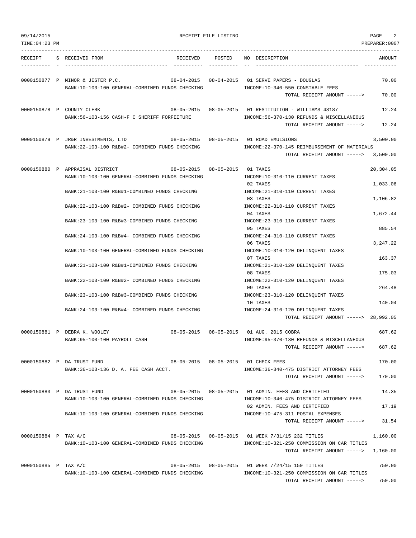| 09/14/2015           |                                                                                     | RECEIPT FILE LISTING           |                                                                                                                                       | PAGE<br>2             |
|----------------------|-------------------------------------------------------------------------------------|--------------------------------|---------------------------------------------------------------------------------------------------------------------------------------|-----------------------|
| TIME: 04:23 PM       |                                                                                     |                                |                                                                                                                                       | PREPARER:0007         |
| RECEIPT              | S RECEIVED FROM<br>RECEIVED                                                         | POSTED                         | NO DESCRIPTION                                                                                                                        | AMOUNT                |
|                      | 0000150877 P MINOR & JESTER P.C.<br>BANK:10-103-100 GENERAL-COMBINED FUNDS CHECKING |                                | 08-04-2015  08-04-2015  01 SERVE PAPERS - DOUGLAS<br>INCOME:10-340-550 CONSTABLE FEES<br>TOTAL RECEIPT AMOUNT ----->                  | 70.00<br>70.00        |
|                      |                                                                                     |                                |                                                                                                                                       |                       |
|                      | 0000150878 P COUNTY CLERK<br>BANK:56-103-156 CASH-F C SHERIFF FORFEITURE            |                                | 08-05-2015  08-05-2015  01 RESTITUTION - WILLIAMS  48187<br>INCOME: 56-370-130 REFUNDS & MISCELLANEOUS<br>TOTAL RECEIPT AMOUNT -----> | 12.24<br>12.24        |
|                      | 0000150879 P JR&R INVESTMENTS, LTD                                                  |                                | 08-05-2015  08-05-2015  01  ROAD EMULSIONS                                                                                            | 3,500.00              |
|                      | BANK:22-103-100 R&B#2- COMBINED FUNDS CHECKING                                      |                                | INCOME:22-370-145 REIMBURSEMENT OF MATERIALS<br>TOTAL RECEIPT AMOUNT ----->                                                           | 3,500.00              |
|                      | 0000150880 P APPRAISAL DISTRICT<br>BANK:10-103-100 GENERAL-COMBINED FUNDS CHECKING  | 08-05-2015 08-05-2015 01 TAXES | INCOME:10-310-110 CURRENT TAXES<br>02 TAXES                                                                                           | 20,304.05<br>1,033.06 |
|                      | BANK:21-103-100 R&B#1-COMBINED FUNDS CHECKING                                       |                                | INCOME: 21-310-110 CURRENT TAXES<br>03 TAXES                                                                                          | 1,106.82              |
|                      | BANK: 22-103-100 R&B#2- COMBINED FUNDS CHECKING                                     |                                | INCOME: 22-310-110 CURRENT TAXES<br>04 TAXES                                                                                          | 1,672.44              |
|                      | BANK:23-103-100 R&B#3-COMBINED FUNDS CHECKING                                       |                                | INCOME: 23-310-110 CURRENT TAXES<br>05 TAXES                                                                                          | 885.54                |
|                      | BANK: 24-103-100 R&B#4- COMBINED FUNDS CHECKING                                     |                                | INCOME: 24-310-110 CURRENT TAXES<br>06 TAXES                                                                                          | 3, 247.22             |
|                      | BANK:10-103-100 GENERAL-COMBINED FUNDS CHECKING                                     |                                | INCOME:10-310-120 DELINQUENT TAXES<br>07 TAXES                                                                                        | 163.37                |
|                      | BANK: 21-103-100 R&B#1-COMBINED FUNDS CHECKING                                      |                                | INCOME: 21-310-120 DELINQUENT TAXES<br>08 TAXES                                                                                       | 175.03                |
|                      | BANK:22-103-100 R&B#2- COMBINED FUNDS CHECKING                                      |                                | INCOME: 22-310-120 DELINQUENT TAXES<br>09 TAXES                                                                                       | 264.48                |
|                      | BANK: 23-103-100 R&B#3-COMBINED FUNDS CHECKING                                      |                                | INCOME: 23-310-120 DELINQUENT TAXES<br>10 TAXES                                                                                       | 140.04                |
|                      | BANK:24-103-100 R&B#4- COMBINED FUNDS CHECKING                                      |                                | INCOME: 24-310-120 DELINQUENT TAXES<br>TOTAL RECEIPT AMOUNT -----> 28,992.05                                                          |                       |
|                      | 0000150881 P DEBRA K. WOOLEY                                                        |                                | 08-05-2015  08-05-2015  01  AUG. 2015  COBRA                                                                                          | 687.62                |
|                      | BANK:95-100-100 PAYROLL CASH                                                        |                                | INCOME: 95-370-130 REFUNDS & MISCELLANEOUS<br>TOTAL RECEIPT AMOUNT ----->                                                             | 687.62                |
|                      | 08-05-2015  08-05-2015  01 CHECK FEES<br>0000150882 P DA TRUST FUND                 |                                |                                                                                                                                       | 170.00                |
|                      | BANK: 36-103-136 D. A. FEE CASH ACCT.                                               |                                | INCOME: 36-340-475 DISTRICT ATTORNEY FEES<br>TOTAL RECEIPT AMOUNT ----->                                                              | 170.00                |
|                      | 0000150883 P DA TRUST FUND<br>BANK:10-103-100 GENERAL-COMBINED FUNDS CHECKING       |                                | 08-05-2015  08-05-2015  01 ADMIN. FEES AND CERTIFIED<br>INCOME:10-340-475 DISTRICT ATTORNEY FEES                                      | 14.35                 |
|                      | BANK:10-103-100 GENERAL-COMBINED FUNDS CHECKING                                     |                                | 02 ADMIN. FEES AND CERTIFIED<br>INCOME:10-475-311 POSTAL EXPENSES                                                                     | 17.19                 |
|                      |                                                                                     |                                | TOTAL RECEIPT AMOUNT ----->                                                                                                           | 31.54                 |
| 0000150884 P TAX A/C | BANK:10-103-100 GENERAL-COMBINED FUNDS CHECKING                                     |                                | 08-05-2015  08-05-2015  01 WEEK 7/31/15  232 TITLES<br>INCOME:10-321-250 COMMISSION ON CAR TITLES                                     | 1,160.00              |
|                      |                                                                                     |                                | TOTAL RECEIPT AMOUNT -----> 1,160.00                                                                                                  |                       |
| 0000150885 P TAX A/C | BANK:10-103-100 GENERAL-COMBINED FUNDS CHECKING                                     |                                | 08-05-2015  08-05-2015  01 WEEK 7/24/15  150 TITLES<br>INCOME:10-321-250 COMMISSION ON CAR TITLES                                     | 750.00                |
|                      |                                                                                     |                                | TOTAL RECEIPT AMOUNT ----->                                                                                                           | 750.00                |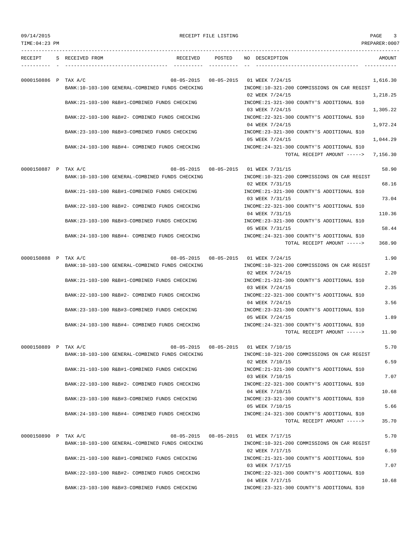09/14/2015 PAGE 3

| TIME: 04: 23 PM      |                         |                                                               |            |                                                                            | PREPARER: 0007 |
|----------------------|-------------------------|---------------------------------------------------------------|------------|----------------------------------------------------------------------------|----------------|
|                      | RECEIPT S RECEIVED FROM |                                                               |            | RECEIVED POSTED NO DESCRIPTION                                             | AMOUNT         |
| 0000150886 P TAX A/C |                         |                                                               |            | 08-05-2015  08-05-2015  01 WEEK 7/24/15                                    | 1,616.30       |
|                      |                         | BANK:10-103-100 GENERAL-COMBINED FUNDS CHECKING               |            | INCOME:10-321-200 COMMISSIONS ON CAR REGIST<br>02 WEEK 7/24/15             | 1,218.25       |
|                      |                         | BANK:21-103-100 R&B#1-COMBINED FUNDS CHECKING                 |            | INCOME: 21-321-300 COUNTY'S ADDITIONAL \$10<br>03 WEEK 7/24/15             | 1,305.22       |
|                      |                         | BANK: 22-103-100 R&B#2- COMBINED FUNDS CHECKING               |            | INCOME: 22-321-300 COUNTY'S ADDITIONAL \$10<br>04 WEEK 7/24/15             | 1,972.24       |
|                      |                         | BANK: 23-103-100 R&B#3-COMBINED FUNDS CHECKING                |            | INCOME: 23-321-300 COUNTY'S ADDITIONAL \$10<br>05 WEEK 7/24/15             | 1,044.29       |
|                      |                         | BANK:24-103-100 R&B#4- COMBINED FUNDS CHECKING                |            | INCOME: 24-321-300 COUNTY'S ADDITIONAL \$10<br>TOTAL RECEIPT AMOUNT -----> |                |
|                      |                         |                                                               |            |                                                                            | 7,156.30       |
| 0000150887 P TAX A/C |                         |                                                               |            | 08-05-2015  08-05-2015  01 WEEK 7/31/15                                    | 58.90          |
|                      |                         | BANK:10-103-100 GENERAL-COMBINED FUNDS CHECKING               |            | INCOME:10-321-200 COMMISSIONS ON CAR REGIST<br>02 WEEK 7/31/15             | 68.16          |
|                      |                         | BANK:21-103-100 R&B#1-COMBINED FUNDS CHECKING                 |            | INCOME: 21-321-300 COUNTY'S ADDITIONAL \$10<br>03 WEEK 7/31/15             | 73.04          |
|                      |                         | BANK:22-103-100 R&B#2- COMBINED FUNDS CHECKING                |            | INCOME: 22-321-300 COUNTY'S ADDITIONAL \$10<br>04 WEEK 7/31/15             | 110.36         |
|                      |                         | BANK:23-103-100 R&B#3-COMBINED FUNDS CHECKING                 |            | INCOME: 23-321-300 COUNTY'S ADDITIONAL \$10                                |                |
|                      |                         | BANK: 24-103-100 R&B#4- COMBINED FUNDS CHECKING               |            | 05 WEEK 7/31/15<br>INCOME: 24-321-300 COUNTY'S ADDITIONAL \$10             | 58.44          |
|                      |                         |                                                               |            | TOTAL RECEIPT AMOUNT ----->                                                | 368.90         |
| 0000150888 P TAX A/C |                         |                                                               |            | 08-05-2015  08-05-2015  01 WEEK 7/24/15                                    | 1.90           |
|                      |                         | BANK:10-103-100 GENERAL-COMBINED FUNDS CHECKING               |            | INCOME:10-321-200 COMMISSIONS ON CAR REGIST<br>02 WEEK 7/24/15             | 2.20           |
|                      |                         | BANK: 21-103-100 R&B#1-COMBINED FUNDS CHECKING                |            | INCOME: 21-321-300 COUNTY'S ADDITIONAL \$10<br>03 WEEK 7/24/15             | 2.35           |
|                      |                         | BANK:22-103-100 R&B#2- COMBINED FUNDS CHECKING                |            | INCOME: 22-321-300 COUNTY'S ADDITIONAL \$10                                |                |
|                      |                         | BANK: 23-103-100 R&B#3-COMBINED FUNDS CHECKING                |            | 04 WEEK 7/24/15<br>INCOME: 23-321-300 COUNTY'S ADDITIONAL \$10             | 3.56           |
|                      |                         |                                                               |            | 05 WEEK 7/24/15                                                            | 1.89           |
|                      |                         | BANK:24-103-100 R&B#4- COMBINED FUNDS CHECKING                |            | INCOME: 24-321-300 COUNTY'S ADDITIONAL \$10<br>TOTAL RECEIPT AMOUNT -----> | 11.90          |
|                      |                         |                                                               |            |                                                                            |                |
| 0000150889 P TAX A/C |                         | 08-05-2015<br>BANK:10-103-100 GENERAL-COMBINED FUNDS CHECKING | 08-05-2015 | 01 WEEK 7/10/15<br>INCOME:10-321-200 COMMISSIONS ON CAR REGIST             | 5.70           |
|                      |                         | BANK: 21-103-100 R&B#1-COMBINED FUNDS CHECKING                |            | 02 WEEK 7/10/15<br>INCOME: 21-321-300 COUNTY'S ADDITIONAL \$10             | 6.59           |
|                      |                         |                                                               |            | 03 WEEK 7/10/15                                                            | 7.07           |
|                      |                         | BANK: 22-103-100 R&B#2- COMBINED FUNDS CHECKING               |            | INCOME: 22-321-300 COUNTY'S ADDITIONAL \$10<br>04 WEEK 7/10/15             | 10.68          |
|                      |                         | BANK: 23-103-100 R&B#3-COMBINED FUNDS CHECKING                |            | INCOME: 23-321-300 COUNTY'S ADDITIONAL \$10                                |                |
|                      |                         | BANK: 24-103-100 R&B#4- COMBINED FUNDS CHECKING               |            | 05 WEEK 7/10/15<br>INCOME: 24-321-300 COUNTY'S ADDITIONAL \$10             | 5.66           |
|                      |                         |                                                               |            | TOTAL RECEIPT AMOUNT ----->                                                | 35.70          |
| 0000150890 P TAX A/C |                         | 08-05-2015<br>BANK:10-103-100 GENERAL-COMBINED FUNDS CHECKING |            | 08-05-2015 01 WEEK 7/17/15<br>INCOME:10-321-200 COMMISSIONS ON CAR REGIST  | 5.70           |
|                      |                         |                                                               |            | 02 WEEK 7/17/15                                                            | 6.59           |
|                      |                         | BANK: 21-103-100 R&B#1-COMBINED FUNDS CHECKING                |            | INCOME: 21-321-300 COUNTY'S ADDITIONAL \$10                                |                |
|                      |                         | BANK: 22-103-100 R&B#2- COMBINED FUNDS CHECKING               |            | 03 WEEK 7/17/15<br>INCOME: 22-321-300 COUNTY'S ADDITIONAL \$10             | 7.07           |
|                      |                         |                                                               |            | 04 WEEK 7/17/15                                                            | 10.68          |
|                      |                         | BANK: 23-103-100 R&B#3-COMBINED FUNDS CHECKING                |            | INCOME: 23-321-300 COUNTY'S ADDITIONAL \$10                                |                |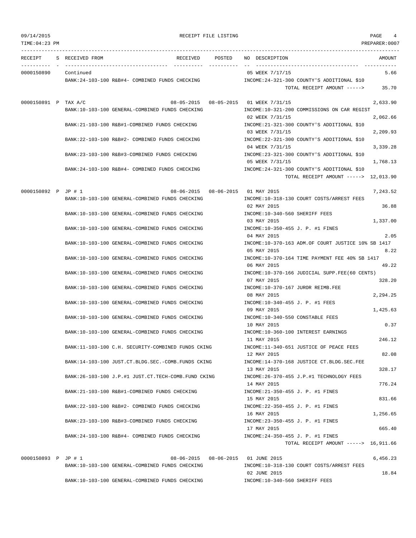TIME:04:23 PM PREPARER:0007 --------------------------------------------------------------------------------------------------------------------------------- RECEIPT S RECEIVED FROM RECEIVED POSTED NO DESCRIPTION AMOUNT ---------- - ----------------------------------- ---------- ---------- -- ----------------------------------- ----------- 0000150890 Continued 5.66 BANK:24-103-100 R&B#4- COMBINED FUNDS CHECKING INCOME:24-321-300 COUNTY'S ADDITIONAL \$10 TOTAL RECEIPT AMOUNT -----> 35.70 0000150891 P TAX A/C 08-05-2015 08-05-2015 01 WEEK 7/31/15 2,633.90 BANK:10-103-100 GENERAL-COMBINED FUNDS CHECKING INCOME:10-321-200 COMMISSIONS ON CAR REGIST 02 WEEK 7/31/15 2,062.66 BANK:21-103-100 R&B#1-COMBINED FUNDS CHECKING INCOME:21-321-300 COUNTY'S ADDITIONAL \$10 03 WEEK 7/31/15 2,209.93 BANK:22-103-100 R&B#2- COMBINED FUNDS CHECKING INCOME:22-321-300 COUNTY'S ADDITIONAL \$10 04 WEEK 7/31/15 3,339.28 BANK:23-103-100 R&B#3-COMBINED FUNDS CHECKING INCOME:23-321-300 COUNTY'S ADDITIONAL \$10 05 WEEK 7/31/15 1,768.13 BANK:24-103-100 R&B#4- COMBINED FUNDS CHECKING INCOME:24-321-300 COUNTY'S ADDITIONAL \$10 TOTAL RECEIPT AMOUNT -----> 12,013.90 0000150892 P JP # 1 08-06-2015 08-06-2015 08-06-2015 01 MAY 2015 BANK:10-103-100 GENERAL-COMBINED FUNDS CHECKING INCOME:10-318-130 COURT COSTS/ARREST FEES 02 MAY 2015 36.88 BANK:10-103-100 GENERAL-COMBINED FUNDS CHECKING INCOME:10-340-560 SHERIFF FEES 03 MAY 2015 1,337.00 BANK:10-103-100 GENERAL-COMBINED FUNDS CHECKING INCOME:10-350-455 J. P. #1 FINES 04 MAY 2015 2.05 BANK:10-103-100 GENERAL-COMBINED FUNDS CHECKING INCOME:10-370-163 ADM.OF COURT JUSTICE 10% SB 1417 05 MAY 2015 8.22 BANK:10-103-100 GENERAL-COMBINED FUNDS CHECKING INCOME:10-370-164 TIME PAYMENT FEE 40% SB 1417 06 MAY 2015 49.22 BANK:10-103-100 GENERAL-COMBINED FUNDS CHECKING INCOME:10-370-166 JUDICIAL SUPP.FEE(60 CENTS) 07 MAY 2015 328.20 BANK:10-103-100 GENERAL-COMBINED FUNDS CHECKING INCOME:10-370-167 JUROR REIMB.FEE 08 MAY 2015 2,294.25 BANK:10-103-100 GENERAL-COMBINED FUNDS CHECKING INCOME:10-340-455 J. P. #1 FEES 09 MAY 2015 1,425.63 BANK:10-103-100 GENERAL-COMBINED FUNDS CHECKING INCOME:10-340-550 CONSTABLE FEES 10 MAY 2015 0.37 BANK:10-103-100 GENERAL-COMBINED FUNDS CHECKING INCOME:10-360-100 INTEREST EARNINGS 11 MAY 2015 246.12 BANK:11-103-100 C.H. SECURITY-COMBINED FUNDS CKING INCOME:11-340-651 JUSTICE OF PEACE FEES 12 MAY 2015 82.08 BANK:14-103-100 JUST.CT.BLDG.SEC.-COMB.FUNDS CKING INCOME:14-370-168 JUSTICE CT.BLDG.SEC.FEE 13 MAY 2015 328.17 BANK:26-103-100 J.P.#1 JUST.CT.TECH-COMB.FUND CKING INCOME:26-370-455 J.P.#1 TECHNOLOGY FEES 14 MAY 2015 776.24 BANK:21-103-100 R&B#1-COMBINED FUNDS CHECKING INCOME:21-350-455 J. P. #1 FINES 15 MAY 2015 831.66 BANK:22-103-100 R&B#2- COMBINED FUNDS CHECKING INCOME:22-350-455 J. P. #1 FINES 16 MAY 2015 1,256.65 BANK:23-103-100 R&B#3-COMBINED FUNDS CHECKING INCOME:23-350-455 J. P. #1 FINES 17 MAY 2015 665.40 BANK:24-103-100 R&B#4- COMBINED FUNDS CHECKING INCOME:24-350-455 J. P. #1 FINES TOTAL RECEIPT AMOUNT -----> 16,911.66 0000150893 P JP # 1 08-06-2015 08-06-2015 08-06-2015 01 JUNE 2015 01 08-06-2015 01 08-06-2015 01 JUNE 2015 BANK:10-103-100 GENERAL-COMBINED FUNDS CHECKING INCOME:10-318-130 COURT COSTS/ARREST FEES 02 JUNE 2015 18.84 BANK:10-103-100 GENERAL-COMBINED FUNDS CHECKING  $N = 10-340-560$  SHERIFF FEES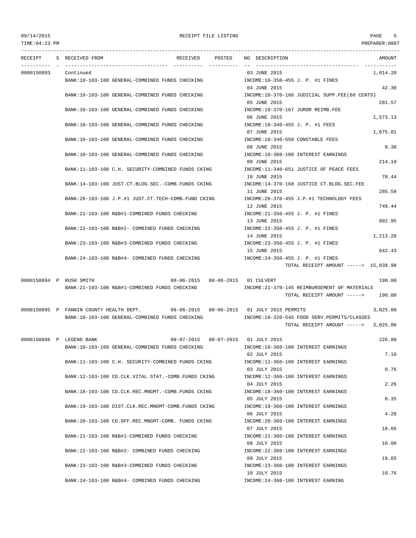### 09/14/2015 RECEIPT FILE LISTING PAGE 5

--------------------------------------------------------------------------------------------------------------------------------- RECEIPT S RECEIVED FROM THE RECEIVED POSTED NO DESCRIPTION THE RECEIVED AMOUNT ---------- - ----------------------------------- ---------- ---------- -- ----------------------------------- ----------- 0000150893 Continued 03 JUNE 2015 1,014.20 BANK:10-103-100 GENERAL-COMBINED FUNDS CHECKING **INCOME:10-350-455 J. P. #1 FINES** 04 JUNE 2015 42.30 BANK:10-103-100 GENERAL-COMBINED FUNDS CHECKING INCOME:10-370-166 JUDICIAL SUPP.FEE(60 CENTS) 05 JUNE 2015 281.57 BANK:10-103-100 GENERAL-COMBINED FUNDS CHECKING INCOME:10-370-167 JUROR REIMB.FEE 06 JUNE 2015 2007 1,573.13 BANK:10-103-100 GENERAL-COMBINED FUNDS CHECKING INCOME:10-340-455 J. P. #1 FEES 07 JUNE 2015 1,675.01 BANK:10-103-100 GENERAL-COMBINED FUNDS CHECKING INCOME:10-340-550 CONSTABLE FEES 08 JUNE 2015 0.38 BANK:10-103-100 GENERAL-COMBINED FUNDS CHECKING **INCOME:10-360-100 INTEREST EARNINGS** 09 JUNE 2015 214.19 BANK:11-103-100 C.H. SECURITY-COMBINED FUNDS CKING INCOME:11-340-651 JUSTICE OF PEACE FEES 10 JUNE 2015 70.44 BANK:14-103-100 JUST.CT.BLDG.SEC.-COMB.FUNDS CKING INCOME:14-370-168 JUSTICE CT.BLDG.SEC.FEE 11 JUNE 2015 285.59 BANK:26-103-100 J.P.#1 JUST.CT.TECH-COMB.FUND CKING INCOME:26-370-455 J.P.#1 TECHNOLOGY FEES 12 JUNE 2015 749.44 BANK:21-103-100 R&B#1-COMBINED FUNDS CHECKING INCOME:21-350-455 J. P. #1 FINES 13 JUNE 2015 802.95 BANK:22-103-100 R&B#2- COMBINED FUNDS CHECKING INCOME:22-350-455 J. P. #1 FINES 14 JUNE 2015 1,213.28 BANK:23-103-100 R&B#3-COMBINED FUNDS CHECKING INCOME:23-350-455 J. P. #1 FINES 15 JUNE 2015 642.43 BANK:24-103-100 R&B#4- COMBINED FUNDS CHECKING INCOME:24-350-455 J. P. #1 FINES TOTAL RECEIPT AMOUNT -----> 15,039.98 0000150894 P RUSH SMITH  $08-06-2015$  08-06-2015 01 CULVERT 190.00 BANK:21-103-100 R&B#1-COMBINED FUNDS CHECKING INCOME:21-370-145 REIMBURSEMENT OF MATERIALS TOTAL RECEIPT AMOUNT -----> 190.00 0000150895 P FANNIN COUNTY HEALTH DEPT. 08-06-2015 08-06-2015 01 JULY 2015 PERMITS 3,025.00 BANK:10-103-100 GENERAL-COMBINED FUNDS CHECKING INCOME:10-320-545 FOOD SERV.PERMITS/CLASSES TOTAL RECEIPT AMOUNT -----> 3,025.00 0000150896 P LEGEND BANK 08-07-2015 08-07-2015 01 JULY 2015 226.80 BANK:10-103-100 GENERAL-COMBINED FUNDS CHECKING INCOME:10-360-100 INTEREST EARNINGS 02 JULY 2015 7.10 BANK:11-103-100 C.H. SECURITY-COMBINED FUNDS CKING INCOME:11-360-100 INTEREST EARNINGS 03 JULY 2015 0.76 BANK:12-103-100 CO.CLK.VITAL STAT.-COMB.FUNDS CKING INCOME:12-360-100 INTEREST EARNINGS 04 JULY 2015 2.26 BANK:18-103-100 CO.CLK.REC.MNGMT.-COMB.FUNDS CKING INCOME:18-360-100 INTEREST EARNINGS 05 JULY 2015 0.35 BANK:19-103-100 DIST.CLK.REC.MNGMT-COMB.FUNDS CKING INCOME:19-360-100 INTEREST EARNINGS 06 JULY 2015 4.20 BANK:20-103-100 CO.OFF.REC.MNGMT-COMB. FUNDS CKING INCOME:20-360-100 INTEREST EARNINGS 07 JULY 2015 18.66 BANK:21-103-100 R&B#1-COMBINED FUNDS CHECKING INCOME:21-360-100 INTEREST EARNINGS 08 JULY 2015 10.00 BANK:22-103-100 R&B#2- COMBINED FUNDS CHECKING INCOME:22-360-100 INTEREST EARNINGS 09 JULY 2015 19.65 BANK:23-103-100 R&B#3-COMBINED FUNDS CHECKING INCOME:23-360-100 INTEREST EARNINGS 10 JULY 2015 10.76

BANK:24-103-100 R&B#4- COMBINED FUNDS CHECKING INCOME:24-360-100 INTEREST EARNING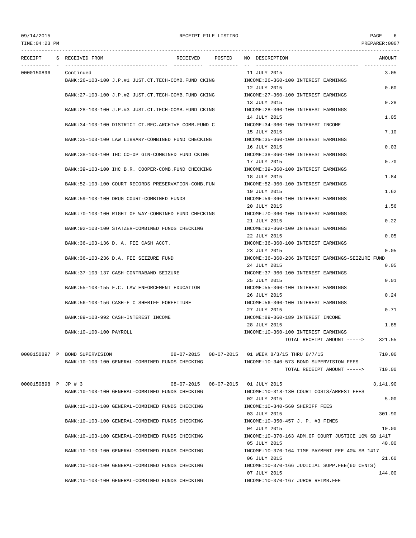## 09/14/2015 RECEIPT FILE LISTING PAGE 6

| RECEIPT             | S RECEIVED FROM                                     | RECEIVED POSTED |                  | NO DESCRIPTION                                                         | AMOUNT   |
|---------------------|-----------------------------------------------------|-----------------|------------------|------------------------------------------------------------------------|----------|
| 0000150896          | Continued                                           |                 |                  | 11 JULY 2015                                                           | 3.05     |
|                     | BANK:26-103-100 J.P.#1 JUST.CT.TECH-COMB.FUND CKING |                 |                  | INCOME:26-360-100 INTEREST EARNINGS                                    |          |
|                     | BANK:27-103-100 J.P.#2 JUST.CT.TECH-COMB.FUND CKING |                 |                  | 12 JULY 2015<br>INCOME: 27-360-100 INTEREST EARNINGS                   | 0.60     |
|                     |                                                     |                 |                  | 13 JULY 2015                                                           | 0.28     |
|                     | BANK:28-103-100 J.P.#3 JUST.CT.TECH-COMB.FUND CKING |                 |                  | INCOME: 28-360-100 INTEREST EARNINGS                                   |          |
|                     |                                                     |                 |                  | 14 JULY 2015                                                           | 1.05     |
|                     | BANK:34-103-100 DISTRICT CT.REC.ARCHIVE COMB.FUND C |                 |                  | INCOME: 34-360-100 INTEREST INCOME<br>15 JULY 2015                     | 7.10     |
|                     | BANK:35-103-100 LAW LIBRARY-COMBINED FUND CHECKING  |                 |                  | INCOME: 35-360-100 INTEREST EARNINGS                                   |          |
|                     |                                                     |                 |                  | 16 JULY 2015                                                           | 0.03     |
|                     | BANK: 38-103-100 IHC CO-OP GIN-COMBINED FUND CKING  |                 |                  | INCOME: 38-360-100 INTEREST EARNINGS                                   |          |
|                     | BANK:39-103-100 IHC B.R. COOPER-COMB. FUND CHECKING |                 |                  | 17 JULY 2015<br>INCOME: 39-360-100 INTEREST EARNINGS                   | 0.70     |
|                     |                                                     |                 |                  | 18 JULY 2015                                                           | 1.84     |
|                     | BANK:52-103-100 COURT RECORDS PRESERVATION-COMB.FUN |                 |                  | INCOME: 52-360-100 INTEREST EARNINGS                                   |          |
|                     |                                                     |                 |                  | 19 JULY 2015                                                           | 1.62     |
|                     | BANK:59-103-100 DRUG COURT-COMBINED FUNDS           |                 |                  | INCOME: 59-360-100 INTEREST EARNINGS<br>20 JULY 2015                   | 1.56     |
|                     | BANK:70-103-100 RIGHT OF WAY-COMBINED FUND CHECKING |                 |                  | INCOME: 70-360-100 INTEREST EARNINGS                                   |          |
|                     |                                                     |                 |                  | 21 JULY 2015                                                           | 0.22     |
|                     | BANK:92-103-100 STATZER-COMBINED FUNDS CHECKING     |                 |                  | INCOME: 92-360-100 INTEREST EARNINGS                                   |          |
|                     |                                                     |                 |                  | 22 JULY 2015                                                           | 0.05     |
|                     | BANK: 36-103-136 D. A. FEE CASH ACCT.               |                 |                  | INCOME: 36-360-100 INTEREST EARNINGS<br>23 JULY 2015                   | 0.05     |
|                     | BANK: 36-103-236 D.A. FEE SEIZURE FUND              |                 |                  | INCOME:36-360-236 INTEREST EARNINGS-SEIZURE FUND                       |          |
|                     |                                                     |                 |                  | 24 JULY 2015                                                           | 0.05     |
|                     | BANK: 37-103-137 CASH-CONTRABAND SEIZURE            |                 |                  | INCOME: 37-360-100 INTEREST EARNINGS                                   |          |
|                     |                                                     |                 |                  | 25 JULY 2015                                                           | 0.01     |
|                     | BANK:55-103-155 F.C. LAW ENFORCEMENT EDUCATION      |                 |                  | INCOME: 55-360-100 INTEREST EARNINGS<br>26 JULY 2015                   | 0.24     |
|                     | BANK: 56-103-156 CASH-F C SHERIFF FORFEITURE        |                 |                  | INCOME: 56-360-100 INTEREST EARNINGS                                   |          |
|                     |                                                     |                 |                  | 27 JULY 2015                                                           | 0.71     |
|                     | BANK:89-103-992 CASH-INTEREST INCOME                |                 |                  | INCOME:89-360-189 INTEREST INCOME                                      |          |
|                     | BANK:10-100-100 PAYROLL                             |                 |                  | 28 JULY 2015<br>INCOME:10-360-100 INTEREST EARNINGS                    | 1.85     |
|                     |                                                     |                 |                  | TOTAL RECEIPT AMOUNT ----->                                            | 321.55   |
|                     |                                                     |                 |                  |                                                                        |          |
|                     | 0000150897 P BOND SUPERVISION                       | 08-07-2015      | $08 - 07 - 2015$ | 01 WEEK 8/3/15 THRU 8/7/15                                             | 710.00   |
|                     | BANK:10-103-100 GENERAL-COMBINED FUNDS CHECKING     |                 |                  | INCOME:10-340-573 BOND SUPERVISION FEES<br>TOTAL RECEIPT AMOUNT -----> | 710.00   |
|                     |                                                     |                 |                  |                                                                        |          |
| 0000150898 P JP # 3 |                                                     |                 |                  | 08-07-2015  08-07-2015  01  JULY  2015                                 | 3,141.90 |
|                     | BANK:10-103-100 GENERAL-COMBINED FUNDS CHECKING     |                 |                  | INCOME:10-318-130 COURT COSTS/ARREST FEES                              |          |
|                     |                                                     |                 |                  | 02 JULY 2015                                                           | 5.00     |
|                     | BANK:10-103-100 GENERAL-COMBINED FUNDS CHECKING     |                 |                  | INCOME:10-340-560 SHERIFF FEES<br>03 JULY 2015                         | 301.90   |
|                     | BANK:10-103-100 GENERAL-COMBINED FUNDS CHECKING     |                 |                  | INCOME:10-350-457 J. P. #3 FINES                                       |          |
|                     |                                                     |                 |                  | 04 JULY 2015                                                           | 10.00    |
|                     | BANK:10-103-100 GENERAL-COMBINED FUNDS CHECKING     |                 |                  | INCOME:10-370-163 ADM.OF COURT JUSTICE 10% SB 1417                     |          |
|                     |                                                     |                 |                  | 05 JULY 2015                                                           | 40.00    |
|                     | BANK:10-103-100 GENERAL-COMBINED FUNDS CHECKING     |                 |                  | INCOME:10-370-164 TIME PAYMENT FEE 40% SB 1417<br>06 JULY 2015         | 21.60    |
|                     | BANK:10-103-100 GENERAL-COMBINED FUNDS CHECKING     |                 |                  | INCOME:10-370-166 JUDICIAL SUPP.FEE(60 CENTS)                          |          |
|                     |                                                     |                 |                  | 07 JULY 2015                                                           | 144.00   |

BANK:10-103-100 GENERAL-COMBINED FUNDS CHECKING INCOME:10-370-167 JUROR REIMB.FEE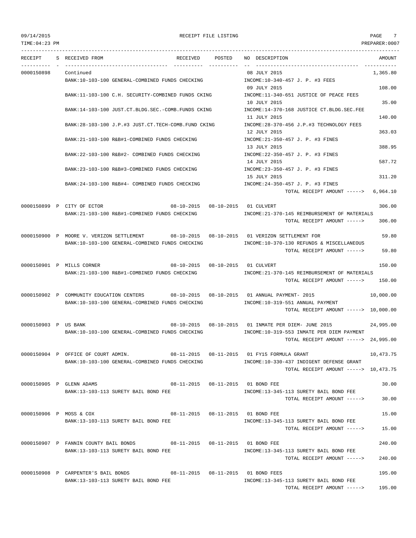## 09/14/2015 RECEIPT FILE LISTING PAGE 7

| RECEIPT              | S RECEIVED FROM                                                                          | RECEIVED                            | POSTED | NO DESCRIPTION                                                                              | AMOUNT    |
|----------------------|------------------------------------------------------------------------------------------|-------------------------------------|--------|---------------------------------------------------------------------------------------------|-----------|
| 0000150898           | Continued                                                                                |                                     |        | 08 JULY 2015                                                                                | 1,365.80  |
|                      | BANK:10-103-100 GENERAL-COMBINED FUNDS CHECKING TROOME:10-340-457 J. P. #3 FEES          |                                     |        |                                                                                             |           |
|                      |                                                                                          |                                     |        | 09 JULY 2015                                                                                | 108.00    |
|                      | BANK:11-103-100 C.H. SECURITY-COMBINED FUNDS CKING                                       |                                     |        | INCOME:11-340-651 JUSTICE OF PEACE FEES                                                     |           |
|                      | BANK:14-103-100 JUST.CT.BLDG.SEC.-COMB.FUNDS CKING                                       |                                     |        | 10 JULY 2015<br>INCOME:14-370-168 JUSTICE CT.BLDG.SEC.FEE                                   | 35.00     |
|                      |                                                                                          |                                     |        | 11 JULY 2015                                                                                | 140.00    |
|                      | BANK:28-103-100 J.P.#3 JUST.CT.TECH-COMB.FUND CKING                                      |                                     |        | INCOME: 28-370-456 J.P.#3 TECHNOLOGY FEES                                                   |           |
|                      |                                                                                          |                                     |        | 12 JULY 2015                                                                                | 363.03    |
|                      | BANK:21-103-100 R&B#1-COMBINED FUNDS CHECKING                                            |                                     |        | INCOME: 21-350-457 J. P. #3 FINES                                                           |           |
|                      |                                                                                          |                                     |        | 13 JULY 2015                                                                                | 388.95    |
|                      | BANK:22-103-100 R&B#2- COMBINED FUNDS CHECKING                                           |                                     |        | INCOME: 22-350-457 J. P. #3 FINES                                                           |           |
|                      | BANK:23-103-100 R&B#3-COMBINED FUNDS CHECKING                                            |                                     |        | 14 JULY 2015<br>INCOME: 23-350-457 J. P. #3 FINES                                           | 587.72    |
|                      |                                                                                          |                                     |        | 15 JULY 2015                                                                                | 311.20    |
|                      | BANK:24-103-100 R&B#4- COMBINED FUNDS CHECKING                                           |                                     |        | INCOME:24-350-457 J. P. #3 FINES                                                            |           |
|                      |                                                                                          |                                     |        | TOTAL RECEIPT AMOUNT ----->                                                                 | 6,964.10  |
|                      |                                                                                          |                                     |        |                                                                                             |           |
|                      | 0000150899 P CITY OF ECTOR<br>BANK:21-103-100 R&B#1-COMBINED FUNDS CHECKING              | 08-10-2015  08-10-2015  01 CULVERT  |        | INCOME: 21-370-145 REIMBURSEMENT OF MATERIALS                                               | 306.00    |
|                      |                                                                                          |                                     |        | TOTAL RECEIPT AMOUNT ----->                                                                 | 306.00    |
|                      |                                                                                          |                                     |        |                                                                                             |           |
|                      | 0000150900 P MOORE V. VERIZON SETTLEMENT 68-10-2015 08-10-2015 01 VERIZON SETTLEMENT FOR |                                     |        |                                                                                             | 59.80     |
|                      | BANK:10-103-100 GENERAL-COMBINED FUNDS CHECKING                                          |                                     |        | INCOME:10-370-130 REFUNDS & MISCELLANEOUS                                                   |           |
|                      |                                                                                          |                                     |        | TOTAL RECEIPT AMOUNT ----->                                                                 | 59.80     |
|                      | 0000150901 P MILLS CORNER                                                                | 08-10-2015  08-10-2015  01  CULVERT |        |                                                                                             | 150.00    |
|                      | BANK:21-103-100 R&B#1-COMBINED FUNDS CHECKING                                            |                                     |        | INCOME: 21-370-145 REIMBURSEMENT OF MATERIALS                                               |           |
|                      |                                                                                          |                                     |        | TOTAL RECEIPT AMOUNT ----->                                                                 | 150.00    |
|                      |                                                                                          |                                     |        |                                                                                             |           |
|                      | 0000150902 P COMMUNITY EDUCATION CENTERS 608-10-2015 08-10-2015 01 ANNUAL PAYMENT-2015   |                                     |        |                                                                                             | 10,000.00 |
|                      | BANK:10-103-100 GENERAL-COMBINED FUNDS CHECKING                                          |                                     |        | INCOME:10-319-551 ANNUAL PAYMENT<br>TOTAL RECEIPT AMOUNT $--- $ 10,000.00                   |           |
|                      |                                                                                          |                                     |        |                                                                                             |           |
| 0000150903 P US BANK |                                                                                          |                                     |        | 08-10-2015  08-10-2015  01 INMATE PER DIEM- JUNE 2015                                       | 24,995.00 |
|                      | BANK:10-103-100 GENERAL-COMBINED FUNDS CHECKING                                          |                                     |        | INCOME:10-319-553 INMATE PER DIEM PAYMENT                                                   |           |
|                      |                                                                                          |                                     |        | TOTAL RECEIPT AMOUNT -----> 24,995.00                                                       |           |
|                      |                                                                                          |                                     |        |                                                                                             |           |
|                      | 0000150904 P OFFICE OF COURT ADMIN.<br>BANK:10-103-100 GENERAL-COMBINED FUNDS CHECKING   |                                     |        | 08-11-2015  08-11-2015  01  FY15  FORMULA GRANT<br>INCOME:10-330-437 INDIGENT DEFENSE GRANT | 10,473.75 |
|                      |                                                                                          |                                     |        | TOTAL RECEIPT AMOUNT -----> 10,473.75                                                       |           |
|                      |                                                                                          |                                     |        |                                                                                             |           |
|                      | 0000150905 P GLENN ADAMS                                                                 |                                     |        | 08-11-2015  08-11-2015  01  BOND FEE                                                        | 30.00     |
|                      | BANK:13-103-113 SURETY BAIL BOND FEE                                                     |                                     |        | INCOME:13-345-113 SURETY BAIL BOND FEE                                                      |           |
|                      |                                                                                          |                                     |        | TOTAL RECEIPT AMOUNT ----->                                                                 | 30.00     |
|                      | 0000150906 P MOSS & COX                                                                  |                                     |        | 08-11-2015  08-11-2015  01  BOND FEE                                                        | 15.00     |
|                      | BANK:13-103-113 SURETY BAIL BOND FEE                                                     |                                     |        | INCOME:13-345-113 SURETY BAIL BOND FEE                                                      |           |
|                      |                                                                                          |                                     |        | TOTAL RECEIPT AMOUNT ----->                                                                 | 15.00     |
|                      |                                                                                          |                                     |        |                                                                                             |           |
|                      | 0000150907 P FANNIN COUNTY BAIL BONDS 08-11-2015 08-11-2015 01 BOND FEE                  |                                     |        |                                                                                             | 240.00    |
|                      | BANK:13-103-113 SURETY BAIL BOND FEE                                                     |                                     |        | INCOME:13-345-113 SURETY BAIL BOND FEE<br>TOTAL RECEIPT AMOUNT ----->                       | 240.00    |
|                      |                                                                                          |                                     |        |                                                                                             |           |
|                      | 0000150908 P CARPENTER'S BAIL BONDS 08-11-2015 08-11-2015 01 BOND FEES                   |                                     |        |                                                                                             | 195.00    |
|                      | BANK:13-103-113 SURETY BAIL BOND FEE                                                     |                                     |        | INCOME:13-345-113 SURETY BAIL BOND FEE                                                      |           |
|                      |                                                                                          |                                     |        | TOTAL RECEIPT AMOUNT ----->                                                                 | 195.00    |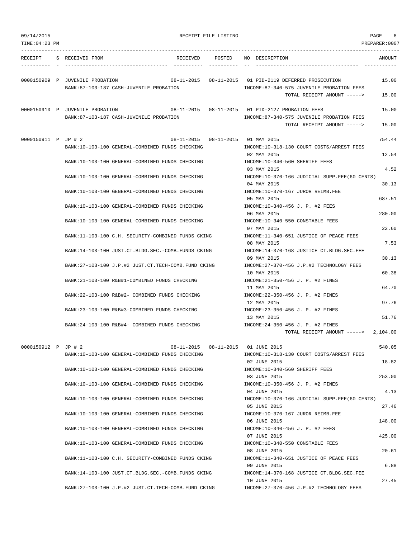| 09/14/2015<br>TIME: 04: 23 PM |  |                                 |                                                      |          | RECEIPT FILE LISTING |                                                      |                                                                                                                                       | PAGE<br>8<br>PREPARER:0007 |
|-------------------------------|--|---------------------------------|------------------------------------------------------|----------|----------------------|------------------------------------------------------|---------------------------------------------------------------------------------------------------------------------------------------|----------------------------|
| RECEIPT                       |  | S RECEIVED FROM                 |                                                      | RECEIVED | POSTED               | NO DESCRIPTION                                       |                                                                                                                                       | AMOUNT                     |
|                               |  | 0000150909 P JUVENILE PROBATION | BANK:87-103-187 CASH-JUVENILE PROBATION              |          |                      |                                                      | 08-11-2015  08-11-2015  01  PID-2119 DEFERRED PROSECUTION<br>INCOME:87-340-575 JUVENILE PROBATION FEES<br>TOTAL RECEIPT AMOUNT -----> | 15.00<br>15.00             |
|                               |  | 0000150910 P JUVENILE PROBATION | BANK:87-103-187 CASH-JUVENILE PROBATION              |          |                      | 08-11-2015  08-11-2015  01  PID-2127  PROBATION FEES | INCOME:87-340-575 JUVENILE PROBATION FEES                                                                                             | 15.00                      |
|                               |  |                                 |                                                      |          |                      |                                                      | TOTAL RECEIPT AMOUNT ----->                                                                                                           | 15.00                      |
| 0000150911 P JP # 2           |  |                                 | BANK:10-103-100 GENERAL-COMBINED FUNDS CHECKING      |          |                      | 08-11-2015  08-11-2015  01 MAY  2015                 | INCOME:10-318-130 COURT COSTS/ARREST FEES                                                                                             | 754.44                     |
|                               |  |                                 | BANK:10-103-100 GENERAL-COMBINED FUNDS CHECKING      |          |                      | 02 MAY 2015                                          | INCOME:10-340-560 SHERIFF FEES                                                                                                        | 12.54                      |
|                               |  |                                 | BANK:10-103-100 GENERAL-COMBINED FUNDS CHECKING      |          |                      | 03 MAY 2015<br>04 MAY 2015                           | INCOME:10-370-166 JUDICIAL SUPP.FEE(60 CENTS)                                                                                         | 4.52<br>30.13              |
|                               |  |                                 | BANK:10-103-100 GENERAL-COMBINED FUNDS CHECKING      |          |                      | 05 MAY 2015                                          | INCOME:10-370-167 JUROR REIMB.FEE                                                                                                     | 687.51                     |
|                               |  |                                 | BANK:10-103-100 GENERAL-COMBINED FUNDS CHECKING      |          |                      | 06 MAY 2015                                          | INCOME:10-340-456 J. P. #2 FEES                                                                                                       | 280.00                     |
|                               |  |                                 | BANK:10-103-100 GENERAL-COMBINED FUNDS CHECKING      |          |                      | 07 MAY 2015                                          | INCOME:10-340-550 CONSTABLE FEES                                                                                                      | 22.60                      |
|                               |  |                                 | BANK:11-103-100 C.H. SECURITY-COMBINED FUNDS CKING   |          |                      | 08 MAY 2015                                          | INCOME:11-340-651 JUSTICE OF PEACE FEES                                                                                               | 7.53                       |
|                               |  |                                 | BANK:14-103-100 JUST.CT.BLDG.SEC.-COMB.FUNDS CKING   |          |                      | 09 MAY 2015                                          | INCOME:14-370-168 JUSTICE CT.BLDG.SEC.FEE                                                                                             | 30.13                      |
|                               |  |                                 | BANK: 27-103-100 J.P.#2 JUST.CT.TECH-COMB.FUND CKING |          |                      | 10 MAY 2015                                          | INCOME: 27-370-456 J.P.#2 TECHNOLOGY FEES                                                                                             | 60.38                      |
|                               |  |                                 | BANK: 21-103-100 R&B#1-COMBINED FUNDS CHECKING       |          | 11 MAY 2015          | INCOME: 21-350-456 J. P. #2 FINES                    | 64.70                                                                                                                                 |                            |
|                               |  |                                 | BANK: 22-103-100 R&B#2- COMBINED FUNDS CHECKING      |          | 12 MAY 2015          | INCOME: 22-350-456 J. P. #2 FINES                    | 97.76                                                                                                                                 |                            |
|                               |  |                                 | BANK: 23-103-100 R&B#3-COMBINED FUNDS CHECKING       |          |                      | 13 MAY 2015                                          | INCOME: 23-350-456 J. P. #2 FINES                                                                                                     | 51.76                      |
|                               |  |                                 | BANK: 24-103-100 R&B#4- COMBINED FUNDS CHECKING      |          |                      |                                                      | INCOME: 24-350-456 J. P. #2 FINES<br>TOTAL RECEIPT AMOUNT -----> 2,104.00                                                             |                            |
| 0000150912 P JP # 2           |  |                                 |                                                      |          |                      | 08-11-2015  08-11-2015  01  JUNE  2015               |                                                                                                                                       | 540.05                     |
|                               |  |                                 | BANK:10-103-100 GENERAL-COMBINED FUNDS CHECKING      |          |                      | 02 JUNE 2015                                         | INCOME:10-318-130 COURT COSTS/ARREST FEES                                                                                             | 18.82                      |
|                               |  |                                 | BANK:10-103-100 GENERAL-COMBINED FUNDS CHECKING      |          |                      | 03 JUNE 2015                                         | INCOME:10-340-560 SHERIFF FEES                                                                                                        | 253.00                     |
|                               |  |                                 | BANK:10-103-100 GENERAL-COMBINED FUNDS CHECKING      |          |                      | 04 JUNE 2015                                         | INCOME:10-350-456 J. P. #2 FINES                                                                                                      | 4.13                       |
|                               |  |                                 | BANK:10-103-100 GENERAL-COMBINED FUNDS CHECKING      |          |                      | 05 JUNE 2015                                         | INCOME:10-370-166 JUDICIAL SUPP.FEE(60 CENTS)                                                                                         | 27.46                      |
|                               |  |                                 | BANK:10-103-100 GENERAL-COMBINED FUNDS CHECKING      |          |                      | 06 JUNE 2015                                         | INCOME:10-370-167 JUROR REIMB.FEE                                                                                                     | 148.00                     |
|                               |  |                                 | BANK:10-103-100 GENERAL-COMBINED FUNDS CHECKING      |          |                      | 07 JUNE 2015                                         | INCOME:10-340-456 J. P. #2 FEES                                                                                                       | 425.00                     |
|                               |  |                                 | BANK:10-103-100 GENERAL-COMBINED FUNDS CHECKING      |          |                      | 08 JUNE 2015                                         | INCOME:10-340-550 CONSTABLE FEES                                                                                                      | 20.61                      |
|                               |  |                                 | BANK: 11-103-100 C.H. SECURITY-COMBINED FUNDS CKING  |          |                      | 09 JUNE 2015                                         | INCOME:11-340-651 JUSTICE OF PEACE FEES                                                                                               | 6.88                       |
|                               |  |                                 | BANK:14-103-100 JUST.CT.BLDG.SEC.-COMB.FUNDS CKING   |          |                      | 10 JUNE 2015                                         | INCOME:14-370-168 JUSTICE CT.BLDG.SEC.FEE                                                                                             | 27.45                      |
|                               |  |                                 | BANK: 27-103-100 J.P.#2 JUST.CT.TECH-COMB.FUND CKING |          |                      |                                                      | INCOME: 27-370-456 J.P.#2 TECHNOLOGY FEES                                                                                             |                            |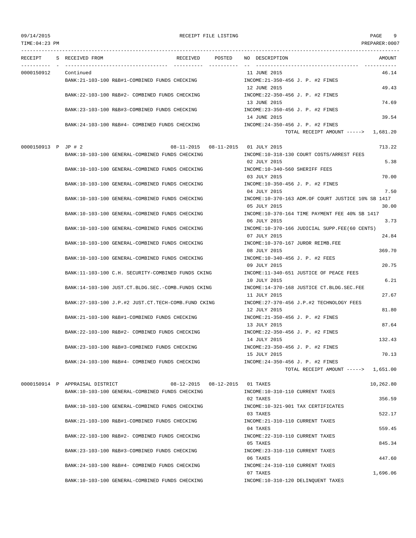TIME:04:23 PM PREPARER:0007 --------------------------------------------------------------------------------------------------------------------------------- RECEIPT S RECEIVED FROM THE RECEIVED POSTED NO DESCRIPTION THE RECEIVED AMOUNT ---------- - ----------------------------------- ---------- ---------- -- ----------------------------------- ----------- 0000150912 Continued 11 JUNE 2015 46.14 BANK:21-103-100 R&B#1-COMBINED FUNDS CHECKING INCOME:21-350-456 J. P. #2 FINES 12 JUNE 2015 49.43 BANK:22-103-100 R&B#2- COMBINED FUNDS CHECKING INCOME:22-350-456 J. P. #2 FINES 13 JUNE 2015 74.69 BANK:23-103-100 R&B#3-COMBINED FUNDS CHECKING  $N = 23-350-456$  J. P. #2 FINES 14 JUNE 2015 39.54 BANK:24-103-100 R&B#4- COMBINED FUNDS CHECKING INCOME:24-350-456 J. P. #2 FINES TOTAL RECEIPT AMOUNT -----> 1,681.20 0000150913 P JP # 2 08-11-2015 08-11-2015 01 JULY 2015 01 JULY 2015 713.22 BANK:10-103-100 GENERAL-COMBINED FUNDS CHECKING INCOME:10-318-130 COURT COSTS/ARREST FEES 02 JULY 2015 5.38 BANK:10-103-100 GENERAL-COMBINED FUNDS CHECKING INCOME:10-340-560 SHERIFF FEES 03 JULY 2015 70.00 BANK:10-103-100 GENERAL-COMBINED FUNDS CHECKING INCOME:10-350-456 J. P. #2 FINES 04 JULY 2015 7.50 BANK:10-103-100 GENERAL-COMBINED FUNDS CHECKING INCOME:10-370-163 ADM.OF COURT JUSTICE 10% SB 1417 05 JULY 2015 30.00 BANK:10-103-100 GENERAL-COMBINED FUNDS CHECKING INCOME:10-370-164 TIME PAYMENT FEE 40% SB 1417 06 JULY 2015 3.73 BANK:10-103-100 GENERAL-COMBINED FUNDS CHECKING INCOME:10-370-166 JUDICIAL SUPP.FEE(60 CENTS) 07 JULY 2015 24.84 BANK:10-103-100 GENERAL-COMBINED FUNDS CHECKING INCOME:10-370-167 JUROR REIMB.FEE 08 JULY 2015 369.70 BANK:10-103-100 GENERAL-COMBINED FUNDS CHECKING INCOME:10-340-456 J. P. #2 FEES 09 JULY 2015 20.75 BANK:11-103-100 C.H. SECURITY-COMBINED FUNDS CKING INCOME:11-340-651 JUSTICE OF PEACE FEES 10 JULY 2015 6.21 BANK:14-103-100 JUST.CT.BLDG.SEC.-COMB.FUNDS CKING INCOME:14-370-168 JUSTICE CT.BLDG.SEC.FEE 11 JULY 2015 27.67 BANK:27-103-100 J.P.#2 JUST.CT.TECH-COMB.FUND CKING INCOME:27-370-456 J.P.#2 TECHNOLOGY FEES 12 JULY 2015 81.80 BANK:21-103-100 R&B#1-COMBINED FUNDS CHECKING INCOME:21-350-456 J. P. #2 FINES 13 JULY 2015 87.64 BANK:22-103-100 R&B#2- COMBINED FUNDS CHECKING INCOME:22-350-456 J. P. #2 FINES 14 JULY 2015 132.43 BANK:23-103-100 R&B#3-COMBINED FUNDS CHECKING INCOME:23-350-456 J. P. #2 FINES 15 JULY 2015 70.13 BANK:24-103-100 R&B#4- COMBINED FUNDS CHECKING INCOME:24-350-456 J. P. #2 FINES TOTAL RECEIPT AMOUNT -----> 1,651.00 0000150914 P APPRAISAL DISTRICT 08-12-2015 08-12-2015 01 TAXES 10,262.80 BANK:10-103-100 GENERAL-COMBINED FUNDS CHECKING INCOME:10-310-110 CURRENT TAXES 02 TAXES 356.59 BANK:10-103-100 GENERAL-COMBINED FUNDS CHECKING INCOME:10-321-901 TAX CERTIFICATES 03 TAXES 522.17 BANK:21-103-100 R&B#1-COMBINED FUNDS CHECKING INCOME:21-310-110 CURRENT TAXES 04 TAXES 559.45 BANK:22-103-100 R&B#2- COMBINED FUNDS CHECKING INCOME:22-310-110 CURRENT TAXES 05 TAXES 845.34 BANK:23-103-100 R&B#3-COMBINED FUNDS CHECKING INCOME:23-310-110 CURRENT TAXES 06 TAXES 447.60 BANK:24-103-100 R&B#4- COMBINED FUNDS CHECKING INCOME:24-310-110 CURRENT TAXES 07 TAXES 1,696.06

BANK:10-103-100 GENERAL-COMBINED FUNDS CHECKING INCOME:10-310-120 DELINQUENT TAXES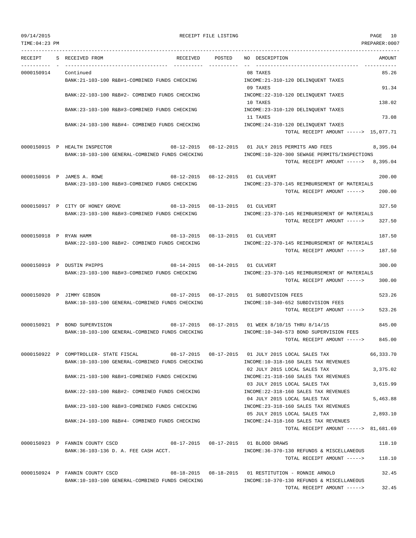PREPARER:0007

| .LML·U4·Z3 PM |  |  |  |
|---------------|--|--|--|
|               |  |  |  |

| RECEIPT                | S RECEIVED FROM<br>RECEIVED                                                        | POSTED                             | NO DESCRIPTION<br>AMOUNT                                                                                          |
|------------------------|------------------------------------------------------------------------------------|------------------------------------|-------------------------------------------------------------------------------------------------------------------|
| 0000150914             | Continued                                                                          |                                    | 08 TAXES<br>85.26                                                                                                 |
|                        | BANK:21-103-100 R&B#1-COMBINED FUNDS CHECKING                                      |                                    | INCOME: 21-310-120 DELINQUENT TAXES<br>09 TAXES<br>91.34                                                          |
|                        | BANK: 22-103-100 R&B#2- COMBINED FUNDS CHECKING                                    |                                    | INCOME: 22-310-120 DELINQUENT TAXES                                                                               |
|                        | BANK:23-103-100 R&B#3-COMBINED FUNDS CHECKING                                      |                                    | 10 TAXES<br>138.02<br>INCOME: 23-310-120 DELINQUENT TAXES                                                         |
|                        |                                                                                    |                                    | 11 TAXES<br>73.08                                                                                                 |
|                        | BANK:24-103-100 R&B#4- COMBINED FUNDS CHECKING                                     |                                    | INCOME: 24-310-120 DELINQUENT TAXES<br>TOTAL RECEIPT AMOUNT -----> 15,077.71                                      |
|                        |                                                                                    |                                    |                                                                                                                   |
|                        | 0000150915 P HEALTH INSPECTOR<br>BANK:10-103-100 GENERAL-COMBINED FUNDS CHECKING   |                                    | 08-12-2015  08-12-2015  01 JULY 2015 PERMITS AND FEES<br>8,395.04<br>INCOME:10-320-300 SEWAGE PERMITS/INSPECTIONS |
|                        |                                                                                    |                                    | 8,395.04<br>TOTAL RECEIPT AMOUNT ----->                                                                           |
|                        | 0000150916 P JAMES A. ROWE                                                         |                                    | 08-12-2015  08-12-2015  01 CULVERT<br>200.00                                                                      |
|                        | BANK: 23-103-100 R&B#3-COMBINED FUNDS CHECKING                                     |                                    | INCOME: 23-370-145 REIMBURSEMENT OF MATERIALS<br>200.00<br>TOTAL RECEIPT AMOUNT ----->                            |
|                        |                                                                                    |                                    |                                                                                                                   |
|                        | 0000150917 P CITY OF HONEY GROVE<br>BANK: 23-103-100 R&B#3-COMBINED FUNDS CHECKING | 08-13-2015  08-13-2015  01 CULVERT | 327.50<br>INCOME: 23-370-145 REIMBURSEMENT OF MATERIALS                                                           |
|                        |                                                                                    |                                    | 327.50<br>TOTAL RECEIPT AMOUNT ----->                                                                             |
| 0000150918 P RYAN HAMM | 08-13-2015 08-13-2015 01 CULVERT                                                   |                                    | 187.50                                                                                                            |
|                        | BANK: 22-103-100 R&B#2- COMBINED FUNDS CHECKING                                    |                                    | INCOME: 22-370-145 REIMBURSEMENT OF MATERIALS<br>187.50                                                           |
|                        |                                                                                    |                                    | TOTAL RECEIPT AMOUNT ----->                                                                                       |
|                        | 0000150919 P DUSTIN PHIPPS<br>BANK: 23-103-100 R&B#3-COMBINED FUNDS CHECKING       | 08-14-2015  08-14-2015  01 CULVERT | 300.00<br>INCOME:23-370-145 REIMBURSEMENT OF MATERIALS                                                            |
|                        |                                                                                    |                                    | TOTAL RECEIPT AMOUNT -----><br>300.00                                                                             |
|                        | 0000150920 P JIMMY GIBSON                                                          |                                    | 08-17-2015  08-17-2015  01 SUBDIVISION FEES<br>523.26                                                             |
|                        | BANK:10-103-100 GENERAL-COMBINED FUNDS CHECKING                                    |                                    | INCOME:10-340-652 SUBDIVISION FEES                                                                                |
|                        |                                                                                    |                                    | 523.26<br>TOTAL RECEIPT AMOUNT ----->                                                                             |
|                        | 0000150921 P BOND SUPERVISION                                                      |                                    | 08-17-2015  08-17-2015  01 WEEK 8/10/15 THRU 8/14/15<br>845.00                                                    |
|                        | BANK:10-103-100 GENERAL-COMBINED FUNDS CHECKING                                    |                                    | INCOME:10-340-573 BOND SUPERVISION FEES<br>845.00<br>TOTAL RECEIPT AMOUNT ----->                                  |
|                        | 0000150922 P COMPTROLLER- STATE FISCAL                                             | 08-17-2015 08-17-2015              | 66,333.70<br>01 JULY 2015 LOCAL SALES TAX                                                                         |
|                        | BANK:10-103-100 GENERAL-COMBINED FUNDS CHECKING                                    |                                    | INCOME:10-318-160 SALES TAX REVENUES                                                                              |
|                        | BANK: 21-103-100 R&B#1-COMBINED FUNDS CHECKING                                     |                                    | 02 JULY 2015 LOCAL SALES TAX<br>3,375.02<br>INCOME: 21-318-160 SALES TAX REVENUES                                 |
|                        |                                                                                    |                                    | 03 JULY 2015 LOCAL SALES TAX<br>3,615.99                                                                          |
|                        | BANK:22-103-100 R&B#2- COMBINED FUNDS CHECKING                                     |                                    | INCOME: 22-318-160 SALES TAX REVENUES<br>04 JULY 2015 LOCAL SALES TAX<br>5,463.88                                 |
|                        | BANK:23-103-100 R&B#3-COMBINED FUNDS CHECKING                                      |                                    | INCOME: 23-318-160 SALES TAX REVENUES                                                                             |
|                        | BANK:24-103-100 R&B#4- COMBINED FUNDS CHECKING                                     |                                    | 05 JULY 2015 LOCAL SALES TAX<br>2,893.10<br>INCOME: 24-318-160 SALES TAX REVENUES                                 |
|                        |                                                                                    |                                    | TOTAL RECEIPT AMOUNT -----> 81,681.69                                                                             |
|                        | 0000150923 P FANNIN COUNTY CSCD                                                    |                                    | 118.10                                                                                                            |
|                        | BANK: 36-103-136 D. A. FEE CASH ACCT.                                              |                                    | INCOME: 36-370-130 REFUNDS & MISCELLANEOUS<br>118.10<br>TOTAL RECEIPT AMOUNT ----->                               |
|                        |                                                                                    |                                    |                                                                                                                   |
|                        | 0000150924 P FANNIN COUNTY CSCD<br>BANK:10-103-100 GENERAL-COMBINED FUNDS CHECKING |                                    | 32.45<br>08-18-2015   08-18-2015   01 RESTITUTION - RONNIE ARNOLD<br>INCOME:10-370-130 REFUNDS & MISCELLANEOUS    |
|                        |                                                                                    |                                    | 32.45<br>TOTAL RECEIPT AMOUNT ----->                                                                              |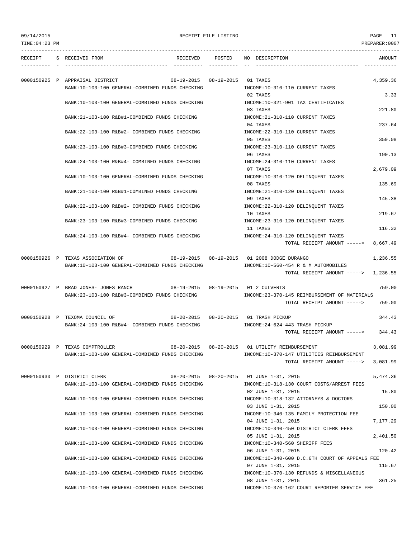09/14/2015 RECEIPT FILE LISTING PAGE 11 TIME:04:23 PM PREPARER:0007

--------------------------------------------------------------------------------------------------------------------------------- RECEIPT S RECEIVED FROM THE RECEIVED POSTED NO DESCRIPTION THE RECEIVED AMOUNT ---------- - ----------------------------------- ---------- ---------- -- ----------------------------------- ----------- 0000150925 P APPRAISAL DISTRICT 08-19-2015 08-19-2015 01 TAXES 4,359.36 BANK:10-103-100 GENERAL-COMBINED FUNDS CHECKING  $N$  INCOME:10-310-110 CURRENT TAXES 02 TAXES 3.33 BANK:10-103-100 GENERAL-COMBINED FUNDS CHECKING INCOME:10-321-901 TAX CERTIFICATES 03 TAXES 221.80 BANK:21-103-100 R&B#1-COMBINED FUNDS CHECKING INCOME:21-310-110 CURRENT TAXES 04 TAXES 237.64 BANK:22-103-100 R&B#2- COMBINED FUNDS CHECKING INCOME:22-310-110 CURRENT TAXES 05 TAXES 359.08 BANK:23-103-100 R&B#3-COMBINED FUNDS CHECKING INCOME:23-310-110 CURRENT TAXES 06 TAXES 190.13 BANK:24-103-100 R&B#4- COMBINED FUNDS CHECKING INCOME:24-310-110 CURRENT TAXES 07 TAXES 2,679.09 BANK:10-103-100 GENERAL-COMBINED FUNDS CHECKING INCOME:10-310-120 DELINOUENT TAXES 08 TAXES 135.69 BANK:21-103-100 R&B#1-COMBINED FUNDS CHECKING INCOME:21-310-120 DELINQUENT TAXES 09 TAXES 145.38 BANK:22-103-100 R&B#2- COMBINED FUNDS CHECKING INCOME:22-310-120 DELINOUENT TAXES 10 TAXES 219.67 BANK:23-103-100 R&B#3-COMBINED FUNDS CHECKING INCOME:23-310-120 DELINQUENT TAXES 11 TAXES 116.32 BANK:24-103-100 R&B#4- COMBINED FUNDS CHECKING INCOME:24-310-120 DELINQUENT TAXES TOTAL RECEIPT AMOUNT -----> 8,667.49 0000150926 P TEXAS ASSOCIATION OF 08-19-2015 08-19-2015 01 2008 DODGE DURANGO 1,236.55 BANK:10-103-100 GENERAL-COMBINED FUNDS CHECKING INCOME:10-560-454 R & M AUTOMOBILES TOTAL RECEIPT AMOUNT -----> 1,236.55 0000150927 P BRAD JONES- JONES RANCH 08-19-2015 08-19-2015 01 2 CULVERTS 759.00 BANK:23-103-100 R&B#3-COMBINED FUNDS CHECKING INCOME:23-370-145 REIMBURSEMENT OF MATERIALS TOTAL RECEIPT AMOUNT -----> 759.00 0000150928 P TEXOMA COUNCIL OF 08-20-2015 08-20-2015 01 TRASH PICKUP 344.43 BANK:24-103-100 R&B#4- COMBINED FUNDS CHECKING INCOME:24-624-443 TRASH PICKUP TOTAL RECEIPT AMOUNT -----> 344.43 0000150929 P TEXAS COMPTROLLER 08-20-2015 08-20-2015 01 UTILITY REIMBURSEMENT 3,081.99 BANK:10-103-100 GENERAL-COMBINED FUNDS CHECKING INCOME:10-370-147 UTILITIES REIMBURSEMENT TOTAL RECEIPT AMOUNT -----> 3,081.99 0000150930 P DISTRICT CLERK 08-20-2015 08-20-2015 01 JUNE 1-31, 2015 5,474.36 BANK:10-103-100 GENERAL-COMBINED FUNDS CHECKING INCOME:10-318-130 COURT COSTS/ARREST FEES 02 JUNE 1-31, 2015 15.80 BANK:10-103-100 GENERAL-COMBINED FUNDS CHECKING INCOME:10-318-132 ATTORNEYS & DOCTORS 03 JUNE 1-31, 2015 150.00 BANK:10-103-100 GENERAL-COMBINED FUNDS CHECKING INCOME:10-340-135 FAMILY PROTECTION FEE 04 JUNE 1-31, 2015 7,177.29 BANK:10-103-100 GENERAL-COMBINED FUNDS CHECKING INCOME:10-340-450 DISTRICT CLERK FEES 05 JUNE 1-31, 2015 2,401.50 BANK:10-103-100 GENERAL-COMBINED FUNDS CHECKING INCOME:10-340-560 SHERIFF FEES 06 JUNE 1-31, 2015 120.42 BANK:10-103-100 GENERAL-COMBINED FUNDS CHECKING INCOME:10-340-600 D.C.6TH COURT OF APPEALS FEE 07 JUNE 1-31, 2015 115.67 BANK:10-103-100 GENERAL-COMBINED FUNDS CHECKING INCOME:10-370-130 REFUNDS & MISCELLANEOUS 08 JUNE 1-31, 2015 361.25 BANK:10-103-100 GENERAL-COMBINED FUNDS CHECKING INCOME:10-370-162 COURT REPORTER SERVICE FEE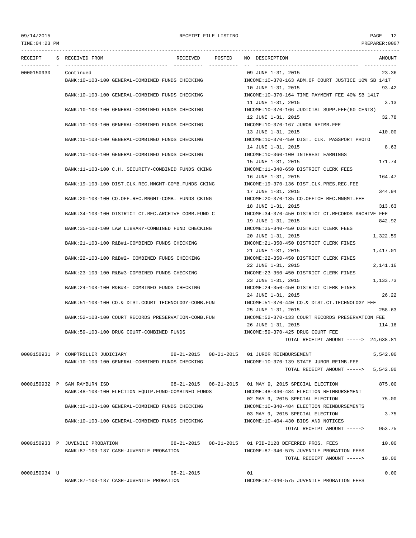TIME:04:23 PM PREPARER:0007 --------------------------------------------------------------------------------------------------------------------------------- RECEIPT S RECEIVED FROM THE RECEIVED POSTED NO DESCRIPTION THE RECEIVED AMOUNT ---------- - ----------------------------------- ---------- ---------- -- ----------------------------------- ----------- 0000150930 Continued 09 JUNE 1-31, 2015 23.36 BANK:10-103-100 GENERAL-COMBINED FUNDS CHECKING INCOME:10-370-163 ADM.OF COURT JUSTICE 10% SB 1417 10 JUNE 1-31, 2015 93.42 BANK:10-103-100 GENERAL-COMBINED FUNDS CHECKING INCOME:10-370-164 TIME PAYMENT FEE 40% SB 1417 11 JUNE 1-31, 2015 3.13 BANK:10-103-100 GENERAL-COMBINED FUNDS CHECKING INCOME:10-370-166 JUDICIAL SUPP.FEE(60 CENTS) 12 JUNE 1-31, 2015 32.78 BANK:10-103-100 GENERAL-COMBINED FUNDS CHECKING INCOME:10-370-167 JUROR REIMB.FEE 13 JUNE 1-31, 2015 410.00 BANK:10-103-100 GENERAL-COMBINED FUNDS CHECKING INCOME:10-370-450 DIST. CLK. PASSPORT PHOTO 14 JUNE 1-31, 2015 8.63 BANK:10-103-100 GENERAL-COMBINED FUNDS CHECKING INCOME:10-360-100 INTEREST EARNINGS 15 JUNE 1-31, 2015 171.74 BANK:11-103-100 C.H. SECURITY-COMBINED FUNDS CKING INCOME:11-340-650 DISTRICT CLERK FEES 16 JUNE 1-31, 2015 164.47 BANK:19-103-100 DIST.CLK.REC.MNGMT-COMB.FUNDS CKING INCOME:19-370-136 DIST.CLK.PRES.REC.FEE 17 JUNE 1-31, 2015 344.94 BANK:20-103-100 CO.OFF.REC.MNGMT-COMB. FUNDS CKING INCOME:20-370-135 CO.OFFICE REC.MNGMT.FEE 18 JUNE 1-31, 2015 313.63 BANK:34-103-100 DISTRICT CT.REC.ARCHIVE COMB.FUND C INCOME:34-370-450 DISTRICT CT.RECORDS ARCHIVE FEE 19 JUNE 1-31, 2015 842.92 BANK:35-103-100 LAW LIBRARY-COMBINED FUND CHECKING INCOME:35-340-450 DISTRICT CLERK FEES 20 JUNE 1-31, 2015 1,322.59 BANK:21-103-100 R&B#1-COMBINED FUNDS CHECKING INCOME:21-350-450 DISTRICT CLERK FINES 21 JUNE 1-31, 2015 1,417.01 BANK:22-103-100 R&B#2- COMBINED FUNDS CHECKING INCOME:22-350-450 DISTRICT CLERK FINES 22 JUNE 1-31, 2015 2,141.16 BANK:23-103-100 R&B#3-COMBINED FUNDS CHECKING INCOME:23-350-450 DISTRICT CLERK FINES 23 JUNE 1-31, 2015 1,133.73 BANK:24-103-100 R&B#4- COMBINED FUNDS CHECKING INCOME:24-350-450 DISTRICT CLERK FINES 24 JUNE 1-31, 2015 26.22 BANK:51-103-100 CO.& DIST.COURT TECHNOLOGY-COMB.FUN INCOME:51-370-440 CO.& DIST.CT.TECHNOLOGY FEE 25 JUNE 1-31, 2015 258.63 BANK:52-103-100 COURT RECORDS PRESERVATION-COMB.FUN INCOME:52-370-133 COURT RECORDS PRESERVATION FEE 26 JUNE 1-31, 2015 114.16 BANK:59-103-100 DRUG COURT-COMBINED FUNDS INCOME:59-370-425 DRUG COURT FEE TOTAL RECEIPT AMOUNT -----> 24,638.81 0000150931 P COMPTROLLER JUDICIARY 08-21-2015 08-21-2015 01 JUROR REIMBURSEMENT 5,542.00 BANK:10-103-100 GENERAL-COMBINED FUNDS CHECKING INCOME:10-370-139 STATE JUROR REIMB.FEE TOTAL RECEIPT AMOUNT -----> 5,542.00 0000150932 P SAM RAYBURN ISD 08-21-2015 08-21-2015 01 MAY 9, 2015 SPECIAL ELECTION 875.00 BANK:48-103-100 ELECTION EQUIP.FUND-COMBINED FUNDS INCOME:48-340-484 ELECTION REIMBURSEMENT 02 MAY 9, 2015 SPECIAL ELECTION 75.00 BANK:10-103-100 GENERAL-COMBINED FUNDS CHECKING INCOME:10-340-484 ELECTION REIMBURSEMENTS 03 MAY 9, 2015 SPECIAL ELECTION 3.75 BANK:10-103-100 GENERAL-COMBINED FUNDS CHECKING INCOME:10-404-430 BIDS AND NOTICES TOTAL RECEIPT AMOUNT -----> 953.75 0000150933 P JUVENILE PROBATION 08-21-2015 08-21-2015 01 PID-2128 DEFERRED PROS. FEES 10.00 BANK:87-103-187 CASH-JUVENILE PROBATION INCOME:87-340-575 JUVENILE PROBATION FEES TOTAL RECEIPT AMOUNT -----> 10.00 0000150934 U 08-21-2015 01 0.00 BANK:87-103-187 CASH-JUVENILE PROBATION INCOME:87-340-575 JUVENILE PROBATION FEES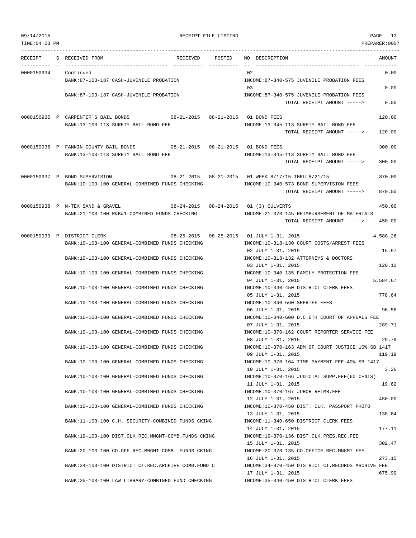|                      | RECEIPT S RECEIVED FROM                                                                                        |  | RECEIVED POSTED NO DESCRIPTION                                       | AMOUNT   |
|----------------------|----------------------------------------------------------------------------------------------------------------|--|----------------------------------------------------------------------|----------|
|                      |                                                                                                                |  |                                                                      |          |
| 0000150934 Continued | BANK:87-103-187 CASH-JUVENILE PROBATION                                                                        |  | 02<br>INCOME:87-340-575 JUVENILE PROBATION FEES                      | 0.00     |
|                      |                                                                                                                |  | 03                                                                   | 0.00     |
|                      | BANK:87-103-187 CASH-JUVENILE PROBATION                                                                        |  | INCOME:87-340-575 JUVENILE PROBATION FEES                            |          |
|                      |                                                                                                                |  | TOTAL RECEIPT AMOUNT ----->                                          | 0.00     |
|                      |                                                                                                                |  |                                                                      |          |
|                      | 0000150935 P CARPENTER'S BAIL BONDS 08-21-2015 08-21-2015 01 BOND FEES<br>BANK:13-103-113 SURETY BAIL BOND FEE |  | INCOME:13-345-113 SURETY BAIL BOND FEE                               | 120.00   |
|                      |                                                                                                                |  | TOTAL RECEIPT AMOUNT ----->                                          | 120.00   |
|                      |                                                                                                                |  |                                                                      |          |
|                      | 0000150936 P FANNIN COUNTY BAIL BONDS 08-21-2015 08-21-2015 01 BOND FEES                                       |  |                                                                      | 300.00   |
|                      | BANK:13-103-113 SURETY BAIL BOND FEE                                                                           |  | INCOME:13-345-113 SURETY BAIL BOND FEE                               |          |
|                      |                                                                                                                |  | TOTAL RECEIPT AMOUNT ----->                                          | 300.00   |
|                      | 0000150937 P BOND SUPERVISION                                                                                  |  | 08-21-2015  08-21-2015  01 WEEK 8/17/15 THRU 8/21/15                 | 870.00   |
|                      | BANK:10-103-100 GENERAL-COMBINED FUNDS CHECKING                                                                |  | INCOME:10-340-573 BOND SUPERVISION FEES                              |          |
|                      |                                                                                                                |  | TOTAL RECEIPT AMOUNT ----->                                          | 870.00   |
|                      |                                                                                                                |  |                                                                      |          |
|                      | 0000150938 P N-TEX SAND & GRAVEL                                                                               |  | 08-24-2015  08-24-2015  01 (3) CULVERTS                              | 450.00   |
|                      | BANK:21-103-100 R&B#1-COMBINED FUNDS CHECKING                                                                  |  | INCOME: 21-370-145 REIMBURSEMENT OF MATERIALS                        |          |
|                      |                                                                                                                |  | TOTAL RECEIPT AMOUNT ----->                                          | 450.00   |
|                      | 0000150939 P DISTRICT CLERK                                                                                    |  | $08-25-2015$ $08-25-2015$ $01$ JULY $1-31$ , 2015                    | 4,588.26 |
|                      | BANK:10-103-100 GENERAL-COMBINED FUNDS CHECKING                                                                |  | INCOME:10-318-130 COURT COSTS/ARREST FEES                            |          |
|                      |                                                                                                                |  | 02 JULY 1-31, 2015                                                   | 15.97    |
|                      | BANK:10-103-100 GENERAL-COMBINED FUNDS CHECKING                                                                |  | INCOME:10-318-132 ATTORNEYS & DOCTORS                                |          |
|                      |                                                                                                                |  | 03 JULY 1-31, 2015                                                   | 120.10   |
|                      | BANK:10-103-100 GENERAL-COMBINED FUNDS CHECKING                                                                |  | INCOME:10-340-135 FAMILY PROTECTION FEE<br>04 JULY 1-31, 2015        | 5,584.67 |
|                      | BANK:10-103-100 GENERAL-COMBINED FUNDS CHECKING                                                                |  | INCOME:10-340-450 DISTRICT CLERK FEES                                |          |
|                      |                                                                                                                |  | 05 JULY 1-31, 2015                                                   | 778.64   |
|                      | BANK:10-103-100 GENERAL-COMBINED FUNDS CHECKING                                                                |  | INCOME:10-340-560 SHERIFF FEES                                       |          |
|                      |                                                                                                                |  | 06 JULY 1-31, 2015                                                   | 96.56    |
|                      | BANK:10-103-100 GENERAL-COMBINED FUNDS CHECKING                                                                |  | INCOME:10-340-600 D.C.6TH COURT OF APPEALS FEE<br>07 JULY 1-31, 2015 | 289.71   |
|                      | BANK:10-103-100 GENERAL-COMBINED FUNDS CHECKING                                                                |  | INCOME:10-370-162 COURT REPORTER SERVICE FEE                         |          |
|                      |                                                                                                                |  | 08 JULY 1-31, 2015                                                   | 29.79    |
|                      | BANK: 10-103-100 GENERAL-COMBINED FUNDS CHECKING                                                               |  | INCOME:10-370-163 ADM.OF COURT JUSTICE 10% SB 1417                   |          |
|                      |                                                                                                                |  | 09 JULY 1-31, 2015                                                   | 119.19   |
|                      | BANK:10-103-100 GENERAL-COMBINED FUNDS CHECKING                                                                |  | INCOME:10-370-164 TIME PAYMENT FEE 40% SB 1417                       |          |
|                      | BANK:10-103-100 GENERAL-COMBINED FUNDS CHECKING                                                                |  | 10 JULY 1-31, 2015<br>INCOME:10-370-166 JUDICIAL SUPP.FEE(60 CENTS)  | 3.26     |
|                      |                                                                                                                |  | 11 JULY 1-31, 2015                                                   | 19.62    |
|                      | BANK:10-103-100 GENERAL-COMBINED FUNDS CHECKING                                                                |  | INCOME:10-370-167 JUROR REIMB.FEE                                    |          |
|                      |                                                                                                                |  | 12 JULY 1-31, 2015                                                   | 450.00   |
|                      | BANK:10-103-100 GENERAL-COMBINED FUNDS CHECKING                                                                |  | INCOME:10-370-450 DIST. CLK. PASSPORT PHOTO                          |          |
|                      |                                                                                                                |  | 13 JULY 1-31, 2015                                                   | 138.64   |
|                      | BANK:11-103-100 C.H. SECURITY-COMBINED FUNDS CKING                                                             |  | INCOME:11-340-650 DISTRICT CLERK FEES<br>14 JULY 1-31, 2015          | 177.11   |
|                      | BANK:19-103-100 DIST.CLK.REC.MNGMT-COMB.FUNDS CKING                                                            |  | INCOME:19-370-136 DIST.CLK.PRES.REC.FEE                              |          |
|                      |                                                                                                                |  | 15 JULY 1-31, 2015                                                   | 302.47   |
|                      | BANK:20-103-100 CO.OFF.REC.MNGMT-COMB. FUNDS CKING                                                             |  | INCOME: 20-370-135 CO.OFFICE REC.MNGMT.FEE                           |          |
|                      |                                                                                                                |  | 16 JULY 1-31, 2015                                                   | 273.15   |
|                      | BANK:34-103-100 DISTRICT CT.REC.ARCHIVE COMB.FUND C                                                            |  | INCOME: 34-370-450 DISTRICT CT.RECORDS ARCHIVE FEE                   |          |
|                      |                                                                                                                |  | 17 JULY 1-31, 2015                                                   | 675.99   |

BANK:35-103-100 LAW LIBRARY-COMBINED FUND CHECKING INCOME:35-340-450 DISTRICT CLERK FEES

09/14/2015 RECEIPT FILE LISTING PAGE 13

TIME:04:23 PM PREPARER:0007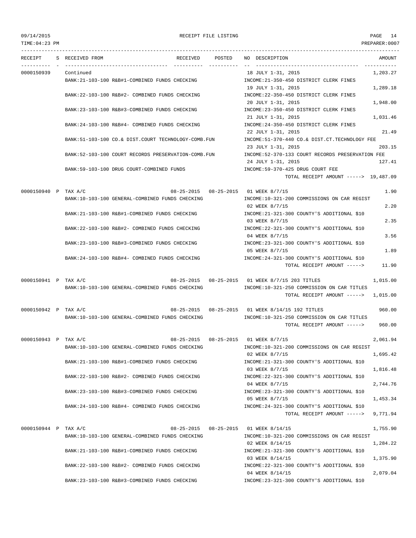## 09/14/2015 RECEIPT FILE LISTING PAGE 14

|                      | RECEIPT S RECEIVED FROM |                                                                        | RECEIVED POSTED NO DESCRIPTION                                                             | AMOUNT   |
|----------------------|-------------------------|------------------------------------------------------------------------|--------------------------------------------------------------------------------------------|----------|
| 0000150939           | Continued               |                                                                        | 18 JULY 1-31, 2015                                                                         | 1,203.27 |
|                      |                         | BANK:21-103-100 R&B#1-COMBINED FUNDS CHECKING                          | INCOME: 21-350-450 DISTRICT CLERK FINES                                                    |          |
|                      |                         |                                                                        | 19 JULY 1-31, 2015                                                                         | 1,289.18 |
|                      |                         | BANK: 22-103-100 R&B#2- COMBINED FUNDS CHECKING                        | INCOME: 22-350-450 DISTRICT CLERK FINES                                                    |          |
|                      |                         |                                                                        | 20 JULY 1-31, 2015                                                                         | 1,948.00 |
|                      |                         | BANK:23-103-100 R&B#3-COMBINED FUNDS CHECKING                          | INCOME: 23-350-450 DISTRICT CLERK FINES                                                    |          |
|                      |                         |                                                                        | 21 JULY 1-31, 2015                                                                         | 1,031.46 |
|                      |                         | BANK:24-103-100 R&B#4- COMBINED FUNDS CHECKING                         | INCOME: 24-350-450 DISTRICT CLERK FINES<br>22 JULY 1-31, 2015                              | 21.49    |
|                      |                         | BANK:51-103-100 CO.& DIST.COURT TECHNOLOGY-COMB.FUN                    | INCOME: 51-370-440 CO.& DIST.CT. TECHNOLOGY FEE                                            |          |
|                      |                         |                                                                        | 23 JULY 1-31, 2015                                                                         | 203.15   |
|                      |                         | BANK:52-103-100 COURT RECORDS PRESERVATION-COMB.FUN                    | INCOME: 52-370-133 COURT RECORDS PRESERVATION FEE                                          |          |
|                      |                         |                                                                        | 24 JULY 1-31, 2015                                                                         | 127.41   |
|                      |                         | BANK:59-103-100 DRUG COURT-COMBINED FUNDS                              | INCOME:59-370-425 DRUG COURT FEE                                                           |          |
|                      |                         |                                                                        | TOTAL RECEIPT AMOUNT -----> 19,487.09                                                      |          |
|                      |                         |                                                                        |                                                                                            |          |
| 0000150940 P TAX A/C |                         | BANK:10-103-100 GENERAL-COMBINED FUNDS CHECKING                        | 08-25-2015  08-25-2015  01 WEEK 8/7/15<br>INCOME:10-321-200 COMMISSIONS ON CAR REGIST      | 1.90     |
|                      |                         |                                                                        | 02 WEEK 8/7/15                                                                             | 2.20     |
|                      |                         | BANK:21-103-100 R&B#1-COMBINED FUNDS CHECKING                          | INCOME: 21-321-300 COUNTY'S ADDITIONAL \$10                                                |          |
|                      |                         |                                                                        | 03 WEEK 8/7/15                                                                             | 2.35     |
|                      |                         | BANK: 22-103-100 R&B#2- COMBINED FUNDS CHECKING                        | INCOME: 22-321-300 COUNTY'S ADDITIONAL \$10                                                |          |
|                      |                         |                                                                        | 04 WEEK 8/7/15                                                                             | 3.56     |
|                      |                         | BANK:23-103-100 R&B#3-COMBINED FUNDS CHECKING                          | INCOME:23-321-300 COUNTY'S ADDITIONAL \$10                                                 |          |
|                      |                         |                                                                        | 05 WEEK 8/7/15                                                                             | 1.89     |
|                      |                         | BANK:24-103-100 R&B#4- COMBINED FUNDS CHECKING                         | INCOME: 24-321-300 COUNTY'S ADDITIONAL \$10                                                |          |
|                      |                         |                                                                        | TOTAL RECEIPT AMOUNT ----->                                                                | 11.90    |
| 0000150941 P TAX A/C |                         |                                                                        | 08-25-2015  08-25-2015  01 WEEK 8/7/15  203 TITLES                                         | 1,015.00 |
|                      |                         | BANK:10-103-100 GENERAL-COMBINED FUNDS CHECKING                        | INCOME:10-321-250 COMMISSION ON CAR TITLES                                                 |          |
|                      |                         |                                                                        | TOTAL RECEIPT AMOUNT $--- 2$ 1,015.00                                                      |          |
|                      |                         |                                                                        |                                                                                            |          |
|                      |                         | 0000150942 P TAX A/C 608-25-2015 08-25-2015 01 WEEK 8/14/15 192 TITLES |                                                                                            | 960.00   |
|                      |                         | BANK:10-103-100 GENERAL-COMBINED FUNDS CHECKING                        | INCOME:10-321-250 COMMISSION ON CAR TITLES                                                 |          |
|                      |                         |                                                                        | TOTAL RECEIPT AMOUNT -----> 960.00                                                         |          |
| 0000150943 P TAX A/C |                         |                                                                        | 08-25-2015  08-25-2015  01 WEEK 8/7/15                                                     | 2,061.94 |
|                      |                         |                                                                        | BANK:10-103-100 GENERAL-COMBINED FUNDS CHECKING MOONE:10-321-200 COMMISSIONS ON CAR REGIST |          |
|                      |                         |                                                                        | 02 WEEK 8/7/15                                                                             | 1,695.42 |
|                      |                         | BANK: 21-103-100 R&B#1-COMBINED FUNDS CHECKING                         | INCOME: 21-321-300 COUNTY'S ADDITIONAL \$10                                                |          |
|                      |                         |                                                                        | 03 WEEK 8/7/15                                                                             | 1,816.48 |
|                      |                         | BANK: 22-103-100 R&B#2- COMBINED FUNDS CHECKING                        | INCOME: 22-321-300 COUNTY'S ADDITIONAL \$10                                                |          |
|                      |                         |                                                                        | 04 WEEK 8/7/15                                                                             | 2,744.76 |
|                      |                         | BANK: 23-103-100 R&B#3-COMBINED FUNDS CHECKING                         | INCOME: 23-321-300 COUNTY'S ADDITIONAL \$10<br>05 WEEK 8/7/15                              | 1,453.34 |
|                      |                         | BANK:24-103-100 R&B#4- COMBINED FUNDS CHECKING                         | INCOME: 24-321-300 COUNTY'S ADDITIONAL \$10                                                |          |
|                      |                         |                                                                        | TOTAL RECEIPT AMOUNT ----->                                                                | 9,771.94 |
|                      |                         |                                                                        |                                                                                            |          |
| 0000150944 P TAX A/C |                         |                                                                        | 08-25-2015  08-25-2015  01 WEEK 8/14/15                                                    | 1,755.90 |
|                      |                         | BANK:10-103-100 GENERAL-COMBINED FUNDS CHECKING                        | INCOME:10-321-200 COMMISSIONS ON CAR REGIST                                                |          |
|                      |                         |                                                                        | 02 WEEK 8/14/15                                                                            | 1,284.22 |
|                      |                         | BANK: 21-103-100 R&B#1-COMBINED FUNDS CHECKING                         | INCOME: 21-321-300 COUNTY'S ADDITIONAL \$10                                                |          |
|                      |                         | BANK: 22-103-100 R&B#2- COMBINED FUNDS CHECKING                        | 03 WEEK 8/14/15<br>INCOME: 22-321-300 COUNTY'S ADDITIONAL \$10                             | 1,375.90 |
|                      |                         |                                                                        | 04 WEEK 8/14/15                                                                            | 2,079.04 |
|                      |                         | BANK: 23-103-100 R&B#3-COMBINED FUNDS CHECKING                         | INCOME: 23-321-300 COUNTY'S ADDITIONAL \$10                                                |          |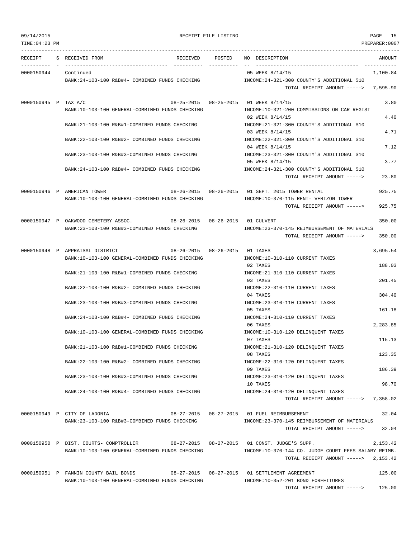TOTAL RECEIPT AMOUNT -----> 125.00

TIME:04:23 PM PREPARER:0007 --------------------------------------------------------------------------------------------------------------------------------- RECEIPT S RECEIVED FROM THE RECEIVED POSTED NO DESCRIPTION THE RECEIVED AMOUNT ---------- - ----------------------------------- ---------- ---------- -- ----------------------------------- ----------- 0000150944 Continued 1.100.84 BANK:24-103-100 R&B#4- COMBINED FUNDS CHECKING INCOME:24-321-300 COUNTY'S ADDITIONAL \$10 TOTAL RECEIPT AMOUNT -----> 7,595.90 0000150945 P TAX A/C 6 (3.80) 08-25-2015 08-25-2015 01 WEEK 8/14/15 BANK:10-103-100 GENERAL-COMBINED FUNDS CHECKING INCOME:10-321-200 COMMISSIONS ON CAR REGIST 02 WEEK 8/14/15 4.40 BANK:21-103-100 R&B#1-COMBINED FUNDS CHECKING INCOME:21-321-300 COUNTY'S ADDITIONAL \$10 03 WEEK 8/14/15 4.71 BANK:22-103-100 R&B#2- COMBINED FUNDS CHECKING INCOME:22-321-300 COUNTY'S ADDITIONAL \$10 04 WEEK 8/14/15 7.12 BANK:23-103-100 R&B#3-COMBINED FUNDS CHECKING INCOME:23-321-300 COUNTY'S ADDITIONAL \$10 05 WEEK 8/14/15 3.77 BANK:24-103-100 R&B#4- COMBINED FUNDS CHECKING INCOME:24-321-300 COUNTY'S ADDITIONAL \$10 TOTAL RECEIPT AMOUNT -----> 23.80 0000150946 P AMERICAN TOWER 08-26-2015 08-26-2015 01 SEPT. 2015 TOWER RENTAL 925.75 BANK:10-103-100 GENERAL-COMBINED FUNDS CHECKING INCOME:10-370-115 RENT- VERIZON TOWER TOTAL RECEIPT AMOUNT -----> 925.75 0000150947 P OAKWOOD CEMETERY ASSOC. 08-26-2015 08-26-2015 01 CULVERT 350.00 BANK: 23-103-100 R&B#3-COMBINED FUNDS CHECKING INCOME: 23-370-145 REIMBURSEMENT OF MATERIALS TOTAL RECEIPT AMOUNT -----> 350.00 0000150948 P APPRAISAL DISTRICT 08-26-2015 08-26-2015 01 TAXES 3,695.54 BANK:10-103-100 GENERAL-COMBINED FUNDS CHECKING INCOME:10-310-110 CURRENT TAXES 02 TAXES 188.03 BANK:21-103-100 R&B#1-COMBINED FUNDS CHECKING INCOME:21-310-110 CURRENT TAXES 03 TAXES 201.45 BANK:22-103-100 R&B#2- COMBINED FUNDS CHECKING INCOME:22-310-110 CURRENT TAXES 04 TAXES 304.40 BANK:23-103-100 R&B#3-COMBINED FUNDS CHECKING INCOME:23-310-110 CURRENT TAXES 05 TAXES 161.18 BANK:24-103-100 R&B#4- COMBINED FUNDS CHECKING INCOME:24-310-110 CURRENT TAXES 06 TAXES 2,283.85 BANK:10-103-100 GENERAL-COMBINED FUNDS CHECKING INCOME:10-310-120 DELINQUENT TAXES 07 TAXES 115.13 BANK:21-103-100 R&B#1-COMBINED FUNDS CHECKING INCOME:21-310-120 DELINQUENT TAXES 08 TAXES 123.35 BANK:22-103-100 R&B#2- COMBINED FUNDS CHECKING INCOME:22-310-120 DELINQUENT TAXES 09 TAXES 186.39 BANK:23-103-100 R&B#3-COMBINED FUNDS CHECKING INCOME:23-310-120 DELINQUENT TAXES 10 TAXES 98.70 BANK:24-103-100 R&B#4- COMBINED FUNDS CHECKING INCOME:24-310-120 DELINOUENT TAXES TOTAL RECEIPT AMOUNT -----> 7,358.02 0000150949 P CITY OF LADONIA 08-27-2015 08-27-2015 01 FUEL REIMBURSEMENT 32.04 BANK:23-103-100 R&B#3-COMBINED FUNDS CHECKING INCOME:23-370-145 REIMBURSEMENT OF MATERIALS TOTAL RECEIPT AMOUNT -----> 32.04 0000150950 P DIST. COURTS- COMPTROLLER 08-27-2015 08-27-2015 01 CONST. JUDGE'S SUPP. 2,153.42 BANK:10-103-100 GENERAL-COMBINED FUNDS CHECKING INCOME:10-370-144 CO. JUDGE COURT FEES SALARY REIMB. TOTAL RECEIPT AMOUNT -----> 2,153.42 0000150951 P FANNIN COUNTY BAIL BONDS 08-27-2015 08-27-2015 01 SETTLEMENT AGREEMENT 125.00 BANK:10-103-100 GENERAL-COMBINED FUNDS CHECKING INCOME:10-352-201 BOND FORFEITURES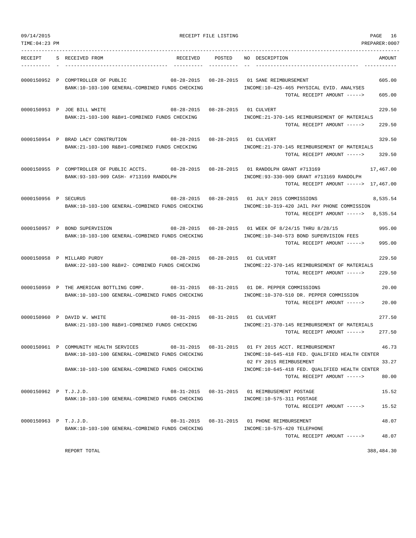| 09/14/2015<br>TIME: 04:23 PM |                                                                                                                                              | RECEIPT FILE LISTING | PAGE<br>16<br>PREPARER:0007                                                                                                                                                                              |
|------------------------------|----------------------------------------------------------------------------------------------------------------------------------------------|----------------------|----------------------------------------------------------------------------------------------------------------------------------------------------------------------------------------------------------|
| RECEIPT                      | S RECEIVED FROM<br>RECEIVED                                                                                                                  | POSTED               | NO DESCRIPTION<br>AMOUNT                                                                                                                                                                                 |
|                              | 0000150952 P COMPTROLLER OF PUBLIC<br>BANK:10-103-100 GENERAL-COMBINED FUNDS CHECKING                                                        |                      | 605.00<br>INCOME:10-425-465 PHYSICAL EVID. ANALYSES<br>605.00<br>TOTAL RECEIPT AMOUNT ----->                                                                                                             |
|                              | 0000150953 P JOE BILL WHITE<br>08-28-2015  08-28-2015  01 CULVERT<br>BANK: 21-103-100 R&B#1-COMBINED FUNDS CHECKING                          |                      | 229.50<br>INCOME: 21-370-145 REIMBURSEMENT OF MATERIALS<br>TOTAL RECEIPT AMOUNT -----><br>229.50                                                                                                         |
|                              | 0000150954 P BRAD LACY CONSTRUTION 08-28-2015 08-28-2015 01 CULVERT<br>BANK:21-103-100 R&B#1-COMBINED FUNDS CHECKING                         |                      | 329.50<br>INCOME: 21-370-145 REIMBURSEMENT OF MATERIALS<br>329.50<br>TOTAL RECEIPT AMOUNT ----->                                                                                                         |
|                              | 0000150955 P COMPTROLLER OF PUBLIC ACCTS. 08-28-2015 08-28-2015 01 RANDOLPH GRANT #713169<br>BANK: 93-103-909 CASH- #713169 RANDOLPH         |                      | 17,467.00<br>INCOME: 93-330-909 GRANT #713169 RANDOLPH<br>TOTAL RECEIPT AMOUNT -----> 17,467.00                                                                                                          |
| 0000150956 P SECURUS         | BANK:10-103-100 GENERAL-COMBINED FUNDS CHECKING                                                                                              |                      | 08-28-2015  08-28-2015  01 JULY  2015  COMMISSIONS<br>8,535.54<br>INCOME:10-319-420 JAIL PAY PHONE COMMISSION<br>TOTAL RECEIPT AMOUNT -----><br>8,535.54                                                 |
|                              | 0000150957 P BOND SUPERVISION<br>BANK:10-103-100 GENERAL-COMBINED FUNDS CHECKING                                                             |                      | 08-28-2015 08-28-2015 01 WEEK OF 8/24/15 THRU 8/28/15<br>995.00<br>INCOME:10-340-573 BOND SUPERVISION FEES<br>995.00<br>TOTAL RECEIPT AMOUNT ----->                                                      |
|                              | $08 - 28 - 2015$<br>0000150958 P MILLARD PURDY<br>BANK: 22-103-100 R&B#2- COMBINED FUNDS CHECKING                                            | $08 - 28 - 2015$     | 01 CULVERT<br>229.50<br>INCOME: 22-370-145 REIMBURSEMENT OF MATERIALS<br>229.50<br>TOTAL RECEIPT AMOUNT ----->                                                                                           |
|                              | 0000150959 P THE AMERICAN BOTTLING COMP.<br>BANK:10-103-100 GENERAL-COMBINED FUNDS CHECKING                                                  |                      | 08-31-2015  08-31-2015  01 DR. PEPPER COMMISSIONS<br>20.00<br>INCOME:10-370-510 DR. PEPPER COMMISSION<br>TOTAL RECEIPT AMOUNT -----><br>20.00                                                            |
|                              | 08-31-2015  08-31-2015  01 CULVERT<br>0000150960 P DAVID W. WHITE<br>BANK: 21-103-100 R&B#1-COMBINED FUNDS CHECKING                          |                      | 277.50<br>INCOME: 21-370-145 REIMBURSEMENT OF MATERIALS<br>277.50<br>TOTAL RECEIPT AMOUNT ----->                                                                                                         |
|                              | 0000150961 P COMMUNITY HEALTH SERVICES<br>BANK:10-103-100 GENERAL-COMBINED FUNDS CHECKING<br>BANK:10-103-100 GENERAL-COMBINED FUNDS CHECKING |                      | 46.73<br>08-31-2015  08-31-2015  01 FY 2015  ACCT. REIMBURSEMENT<br>INCOME:10-645-418 FED. QUALIFIED HEALTH CENTER<br>33.27<br>02 FY 2015 REIMBUSEMENT<br>INCOME:10-645-418 FED. QUALIFIED HEALTH CENTER |
| 0000150962 P T.J.J.D.        |                                                                                                                                              |                      | TOTAL RECEIPT AMOUNT -----><br>80.00<br>08-31-2015  08-31-2015  01 REIMBUSEMENT POSTAGE<br>15.52                                                                                                         |
|                              | BANK:10-103-100 GENERAL-COMBINED FUNDS CHECKING                                                                                              |                      | INCOME:10-575-311 POSTAGE<br>15.52<br>TOTAL RECEIPT AMOUNT ----->                                                                                                                                        |
| 0000150963 P T.J.J.D.        | BANK:10-103-100 GENERAL-COMBINED FUNDS CHECKING                                                                                              |                      | 48.07<br>INCOME:10-575-420 TELEPHONE<br>TOTAL RECEIPT AMOUNT -----><br>48.07                                                                                                                             |

REPORT TOTAL 388,484.30